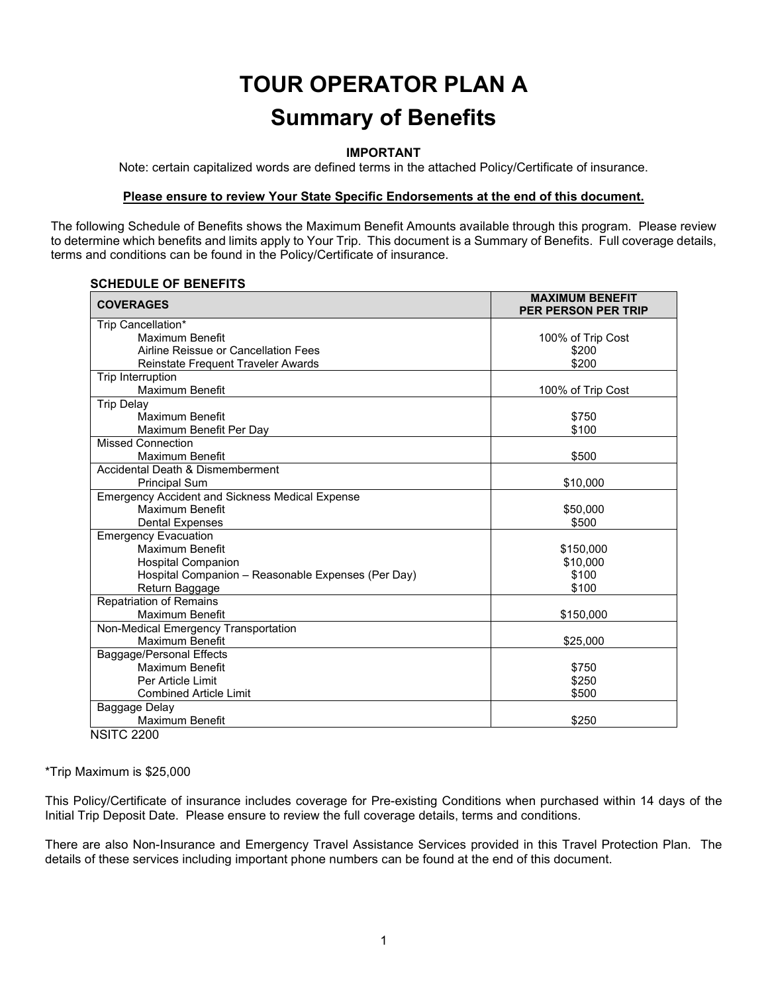# **TOUR OPERATOR PLAN A Summary of Benefits**

#### **IMPORTANT**

Note: certain capitalized words are defined terms in the attached Policy/Certificate of insurance.

#### **Please ensure to review Your State Specific Endorsements at the end of this document.**

The following Schedule of Benefits shows the Maximum Benefit Amounts available through this program. Please review to determine which benefits and limits apply to Your Trip. This document is a Summary of Benefits. Full coverage details, terms and conditions can be found in the Policy/Certificate of insurance.

#### **SCHEDULE OF BENEFITS**

| <b>COVERAGES</b>                                       | <b>MAXIMUM BENEFIT</b><br><b>PER PERSON PER TRIP</b> |
|--------------------------------------------------------|------------------------------------------------------|
| Trip Cancellation*                                     |                                                      |
| <b>Maximum Benefit</b>                                 | 100% of Trip Cost                                    |
| Airline Reissue or Cancellation Fees                   | \$200                                                |
| Reinstate Frequent Traveler Awards                     | \$200                                                |
| Trip Interruption                                      |                                                      |
| <b>Maximum Benefit</b>                                 | 100% of Trip Cost                                    |
| <b>Trip Delay</b>                                      |                                                      |
| Maximum Benefit                                        | \$750                                                |
| Maximum Benefit Per Day                                | \$100                                                |
| <b>Missed Connection</b>                               |                                                      |
| Maximum Benefit                                        | \$500                                                |
| Accidental Death & Dismemberment                       |                                                      |
| <b>Principal Sum</b>                                   | \$10,000                                             |
| <b>Emergency Accident and Sickness Medical Expense</b> |                                                      |
| Maximum Benefit                                        | \$50,000                                             |
| <b>Dental Expenses</b>                                 | \$500                                                |
| <b>Emergency Evacuation</b>                            |                                                      |
| <b>Maximum Benefit</b>                                 | \$150,000                                            |
| <b>Hospital Companion</b>                              | \$10,000                                             |
| Hospital Companion - Reasonable Expenses (Per Day)     | \$100                                                |
| Return Baggage                                         | \$100                                                |
| <b>Repatriation of Remains</b>                         |                                                      |
| <b>Maximum Benefit</b>                                 | \$150,000                                            |
| Non-Medical Emergency Transportation                   |                                                      |
| <b>Maximum Benefit</b>                                 | \$25,000                                             |
| Baggage/Personal Effects                               |                                                      |
| Maximum Benefit                                        | \$750                                                |
| Per Article Limit                                      | \$250                                                |
| <b>Combined Article Limit</b>                          | \$500                                                |
| Baggage Delay                                          |                                                      |
| <b>Maximum Benefit</b>                                 | \$250                                                |
| <b>NSITC 2200</b>                                      |                                                      |

\*Trip Maximum is \$25,000

This Policy/Certificate of insurance includes coverage for Pre-existing Conditions when purchased within 14 days of the Initial Trip Deposit Date. Please ensure to review the full coverage details, terms and conditions.

There are also Non-Insurance and Emergency Travel Assistance Services provided in this Travel Protection Plan. The details of these services including important phone numbers can be found at the end of this document.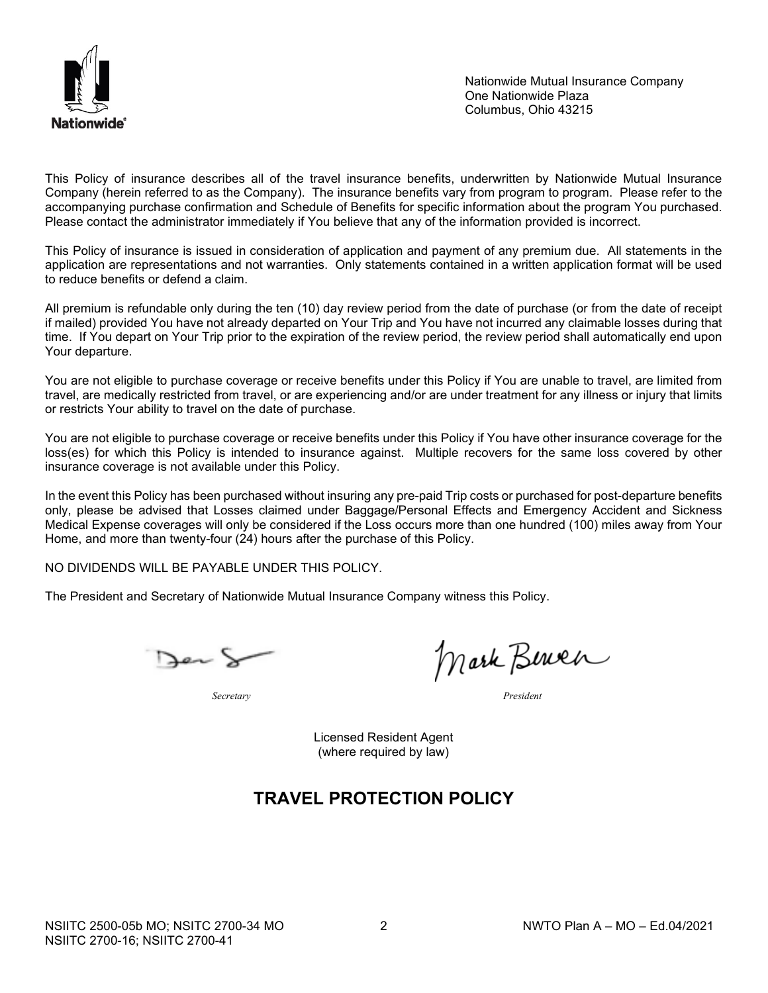

Nationwide Mutual Insurance Company One Nationwide Plaza Columbus, Ohio 43215

This Policy of insurance describes all of the travel insurance benefits, underwritten by Nationwide Mutual Insurance Company (herein referred to as the Company). The insurance benefits vary from program to program. Please refer to the accompanying purchase confirmation and Schedule of Benefits for specific information about the program You purchased. Please contact the administrator immediately if You believe that any of the information provided is incorrect.

This Policy of insurance is issued in consideration of application and payment of any premium due. All statements in the application are representations and not warranties. Only statements contained in a written application format will be used to reduce benefits or defend a claim.

All premium is refundable only during the ten (10) day review period from the date of purchase (or from the date of receipt if mailed) provided You have not already departed on Your Trip and You have not incurred any claimable losses during that time. If You depart on Your Trip prior to the expiration of the review period, the review period shall automatically end upon Your departure.

You are not eligible to purchase coverage or receive benefits under this Policy if You are unable to travel, are limited from travel, are medically restricted from travel, or are experiencing and/or are under treatment for any illness or injury that limits or restricts Your ability to travel on the date of purchase.

You are not eligible to purchase coverage or receive benefits under this Policy if You have other insurance coverage for the loss(es) for which this Policy is intended to insurance against. Multiple recovers for the same loss covered by other insurance coverage is not available under this Policy.

In the event this Policy has been purchased without insuring any pre-paid Trip costs or purchased for post-departure benefits only, please be advised that Losses claimed under Baggage/Personal Effects and Emergency Accident and Sickness Medical Expense coverages will only be considered if the Loss occurs more than one hundred (100) miles away from Your Home, and more than twenty-four (24) hours after the purchase of this Policy.

NO DIVIDENDS WILL BE PAYABLE UNDER THIS POLICY.

The President and Secretary of Nationwide Mutual Insurance Company witness this Policy.

Der &

*Secretary President*

Mark Berner

Licensed Resident Agent (where required by law)

# **TRAVEL PROTECTION POLICY**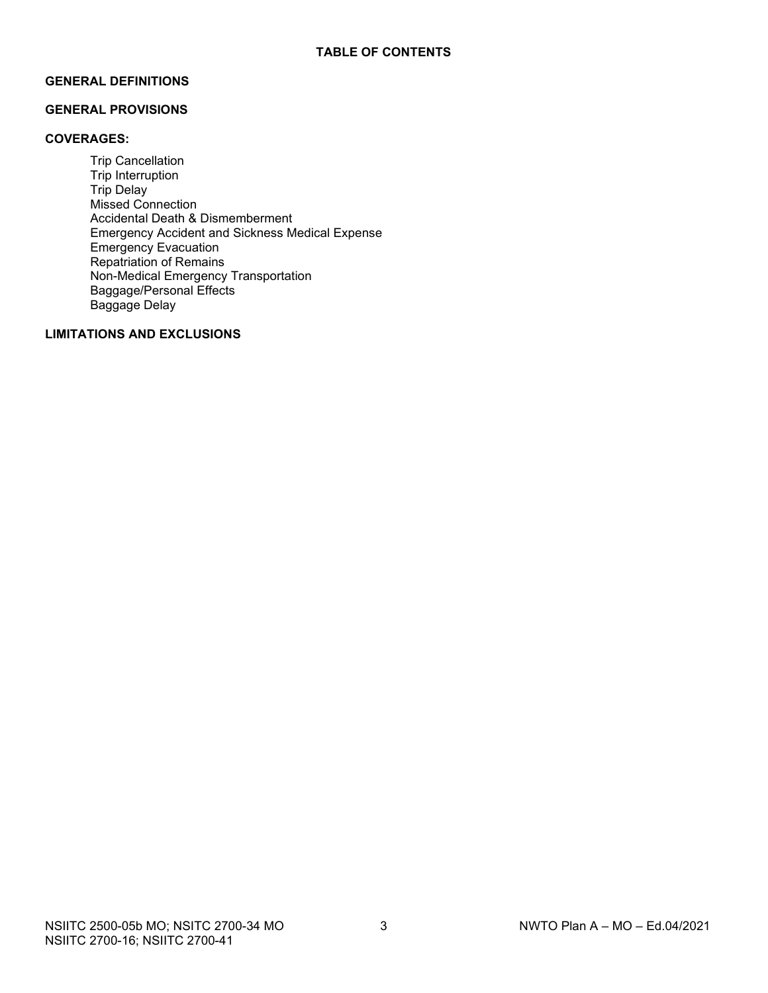# **GENERAL DEFINITIONS**

# **GENERAL PROVISIONS**

#### **COVERAGES:**

Trip Cancellation Trip Interruption Trip Delay Missed Connection Accidental Death & Dismemberment Emergency Accident and Sickness Medical Expense Emergency Evacuation Repatriation of Remains Non-Medical Emergency Transportation Baggage/Personal Effects Baggage Delay

# **LIMITATIONS AND EXCLUSIONS**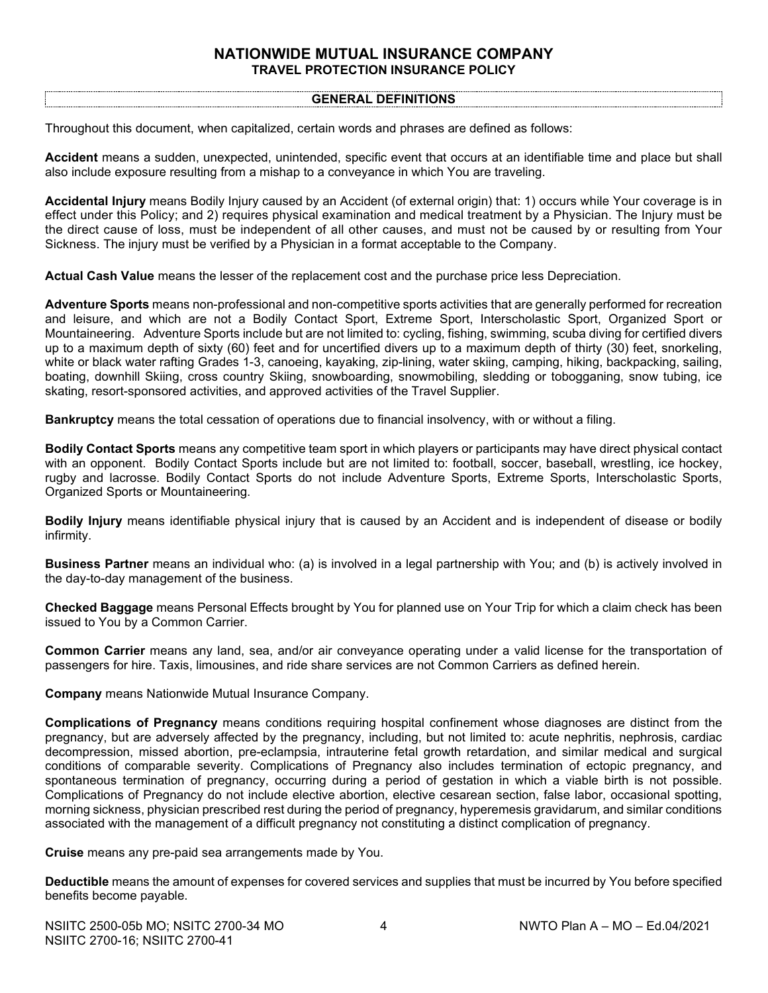# **NATIONWIDE MUTUAL INSURANCE COMPANY TRAVEL PROTECTION INSURANCE POLICY**

#### **GENERAL DEFINITIONS**

Throughout this document, when capitalized, certain words and phrases are defined as follows:

**Accident** means a sudden, unexpected, unintended, specific event that occurs at an identifiable time and place but shall also include exposure resulting from a mishap to a conveyance in which You are traveling.

**Accidental Injury** means Bodily Injury caused by an Accident (of external origin) that: 1) occurs while Your coverage is in effect under this Policy; and 2) requires physical examination and medical treatment by a Physician. The Injury must be the direct cause of loss, must be independent of all other causes, and must not be caused by or resulting from Your Sickness. The injury must be verified by a Physician in a format acceptable to the Company.

**Actual Cash Value** means the lesser of the replacement cost and the purchase price less Depreciation.

**Adventure Sports** means non-professional and non-competitive sports activities that are generally performed for recreation and leisure, and which are not a Bodily Contact Sport, Extreme Sport, Interscholastic Sport, Organized Sport or Mountaineering. Adventure Sports include but are not limited to: cycling, fishing, swimming, scuba diving for certified divers up to a maximum depth of sixty (60) feet and for uncertified divers up to a maximum depth of thirty (30) feet, snorkeling, white or black water rafting Grades 1-3, canoeing, kayaking, zip-lining, water skiing, camping, hiking, backpacking, sailing, boating, downhill Skiing, cross country Skiing, snowboarding, snowmobiling, sledding or tobogganing, snow tubing, ice skating, resort-sponsored activities, and approved activities of the Travel Supplier.

**Bankruptcy** means the total cessation of operations due to financial insolvency, with or without a filing.

**Bodily Contact Sports** means any competitive team sport in which players or participants may have direct physical contact with an opponent. Bodily Contact Sports include but are not limited to: football, soccer, baseball, wrestling, ice hockey, rugby and lacrosse. Bodily Contact Sports do not include Adventure Sports, Extreme Sports, Interscholastic Sports, Organized Sports or Mountaineering.

**Bodily Injury** means identifiable physical injury that is caused by an Accident and is independent of disease or bodily infirmity.

**Business Partner** means an individual who: (a) is involved in a legal partnership with You; and (b) is actively involved in the day-to-day management of the business.

**Checked Baggage** means Personal Effects brought by You for planned use on Your Trip for which a claim check has been issued to You by a Common Carrier.

**Common Carrier** means any land, sea, and/or air conveyance operating under a valid license for the transportation of passengers for hire. Taxis, limousines, and ride share services are not Common Carriers as defined herein.

**Company** means Nationwide Mutual Insurance Company.

**Complications of Pregnancy** means conditions requiring hospital confinement whose diagnoses are distinct from the pregnancy, but are adversely affected by the pregnancy, including, but not limited to: acute nephritis, nephrosis, cardiac decompression, missed abortion, pre-eclampsia, intrauterine fetal growth retardation, and similar medical and surgical conditions of comparable severity. Complications of Pregnancy also includes termination of ectopic pregnancy, and spontaneous termination of pregnancy, occurring during a period of gestation in which a viable birth is not possible. Complications of Pregnancy do not include elective abortion, elective cesarean section, false labor, occasional spotting, morning sickness, physician prescribed rest during the period of pregnancy, hyperemesis gravidarum, and similar conditions associated with the management of a difficult pregnancy not constituting a distinct complication of pregnancy.

**Cruise** means any pre-paid sea arrangements made by You.

**Deductible** means the amount of expenses for covered services and supplies that must be incurred by You before specified benefits become payable.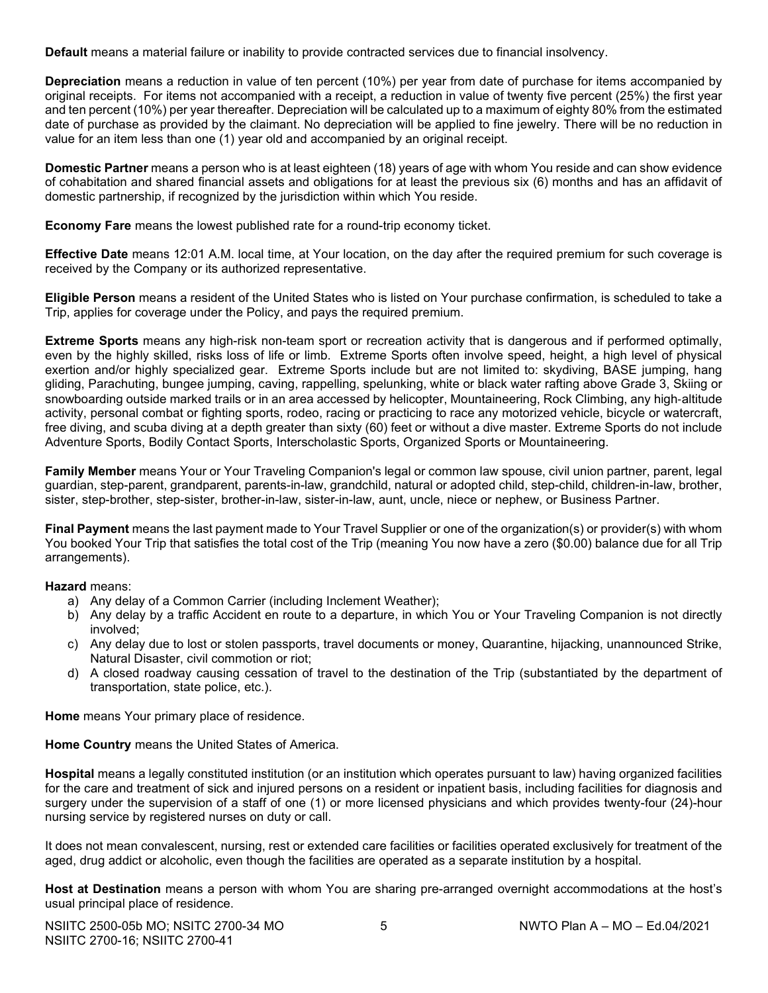**Default** means a material failure or inability to provide contracted services due to financial insolvency.

**Depreciation** means a reduction in value of ten percent (10%) per year from date of purchase for items accompanied by original receipts. For items not accompanied with a receipt, a reduction in value of twenty five percent (25%) the first year and ten percent (10%) per year thereafter. Depreciation will be calculated up to a maximum of eighty 80% from the estimated date of purchase as provided by the claimant. No depreciation will be applied to fine jewelry. There will be no reduction in value for an item less than one (1) year old and accompanied by an original receipt.

**Domestic Partner** means a person who is at least eighteen (18) years of age with whom You reside and can show evidence of cohabitation and shared financial assets and obligations for at least the previous six (6) months and has an affidavit of domestic partnership, if recognized by the jurisdiction within which You reside.

**Economy Fare** means the lowest published rate for a round-trip economy ticket.

**Effective Date** means 12:01 A.M. local time, at Your location, on the day after the required premium for such coverage is received by the Company or its authorized representative.

**Eligible Person** means a resident of the United States who is listed on Your purchase confirmation, is scheduled to take a Trip, applies for coverage under the Policy, and pays the required premium.

**Extreme Sports** means any high-risk non-team sport or recreation activity that is dangerous and if performed optimally, even by the highly skilled, risks loss of life or limb. Extreme Sports often involve speed, height, a high level of physical exertion and/or highly specialized gear. Extreme Sports include but are not limited to: skydiving, BASE jumping, hang gliding, Parachuting, bungee jumping, caving, rappelling, spelunking, white or black water rafting above Grade 3, Skiing or snowboarding outside marked trails or in an area accessed by helicopter, Mountaineering, Rock Climbing, any high‐altitude activity, personal combat or fighting sports, rodeo, racing or practicing to race any motorized vehicle, bicycle or watercraft, free diving, and scuba diving at a depth greater than sixty (60) feet or without a dive master. Extreme Sports do not include Adventure Sports, Bodily Contact Sports, Interscholastic Sports, Organized Sports or Mountaineering.

**Family Member** means Your or Your Traveling Companion's legal or common law spouse, civil union partner, parent, legal guardian, step-parent, grandparent, parents-in-law, grandchild, natural or adopted child, step-child, children-in-law, brother, sister, step-brother, step-sister, brother-in-law, sister-in-law, aunt, uncle, niece or nephew, or Business Partner.

**Final Payment** means the last payment made to Your Travel Supplier or one of the organization(s) or provider(s) with whom You booked Your Trip that satisfies the total cost of the Trip (meaning You now have a zero (\$0.00) balance due for all Trip arrangements).

**Hazard** means:

- a) Any delay of a Common Carrier (including Inclement Weather);
- b) Any delay by a traffic Accident en route to a departure, in which You or Your Traveling Companion is not directly involved;
- c) Any delay due to lost or stolen passports, travel documents or money, Quarantine, hijacking, unannounced Strike, Natural Disaster, civil commotion or riot;
- d) A closed roadway causing cessation of travel to the destination of the Trip (substantiated by the department of transportation, state police, etc.).

**Home** means Your primary place of residence.

**Home Country** means the United States of America.

**Hospital** means a legally constituted institution (or an institution which operates pursuant to law) having organized facilities for the care and treatment of sick and injured persons on a resident or inpatient basis, including facilities for diagnosis and surgery under the supervision of a staff of one (1) or more licensed physicians and which provides twenty-four (24)-hour nursing service by registered nurses on duty or call.

It does not mean convalescent, nursing, rest or extended care facilities or facilities operated exclusively for treatment of the aged, drug addict or alcoholic, even though the facilities are operated as a separate institution by a hospital.

**Host at Destination** means a person with whom You are sharing pre-arranged overnight accommodations at the host's usual principal place of residence.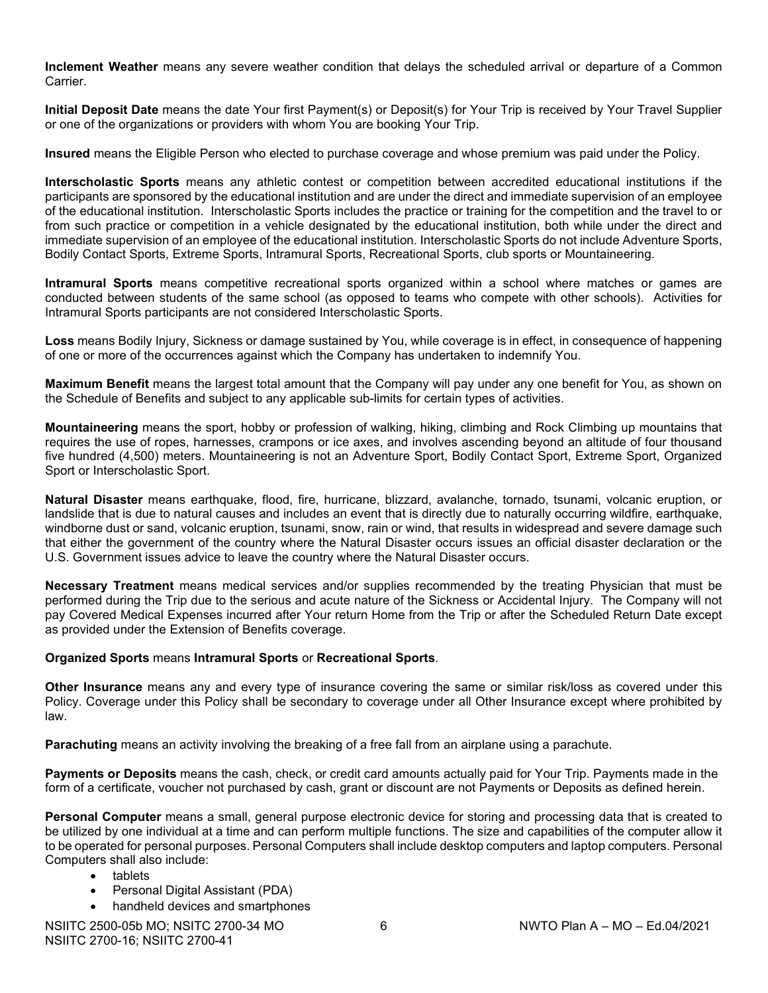**Inclement Weather** means any severe weather condition that delays the scheduled arrival or departure of a Common Carrier.

**Initial Deposit Date** means the date Your first Payment(s) or Deposit(s) for Your Trip is received by Your Travel Supplier or one of the organizations or providers with whom You are booking Your Trip.

**Insured** means the Eligible Person who elected to purchase coverage and whose premium was paid under the Policy.

**Interscholastic Sports** means any athletic contest or competition between accredited educational institutions if the participants are sponsored by the educational institution and are under the direct and immediate supervision of an employee of the educational institution. Interscholastic Sports includes the practice or training for the competition and the travel to or from such practice or competition in a vehicle designated by the educational institution, both while under the direct and immediate supervision of an employee of the educational institution. Interscholastic Sports do not include Adventure Sports, Bodily Contact Sports, Extreme Sports, Intramural Sports, Recreational Sports, club sports or Mountaineering.

**Intramural Sports** means competitive recreational sports organized within a school where matches or games are conducted between students of the same school (as opposed to teams who compete with other schools). Activities for Intramural Sports participants are not considered Interscholastic Sports.

**Loss** means Bodily Injury, Sickness or damage sustained by You, while coverage is in effect, in consequence of happening of one or more of the occurrences against which the Company has undertaken to indemnify You.

**Maximum Benefit** means the largest total amount that the Company will pay under any one benefit for You, as shown on the Schedule of Benefits and subject to any applicable sub-limits for certain types of activities.

**Mountaineering** means the sport, hobby or profession of walking, hiking, climbing and Rock Climbing up mountains that requires the use of ropes, harnesses, crampons or ice axes, and involves ascending beyond an altitude of four thousand five hundred (4,500) meters. Mountaineering is not an Adventure Sport, Bodily Contact Sport, Extreme Sport, Organized Sport or Interscholastic Sport.

**Natural Disaster** means earthquake, flood, fire, hurricane, blizzard, avalanche, tornado, tsunami, volcanic eruption, or landslide that is due to natural causes and includes an event that is directly due to naturally occurring wildfire, earthquake, windborne dust or sand, volcanic eruption, tsunami, snow, rain or wind, that results in widespread and severe damage such that either the government of the country where the Natural Disaster occurs issues an official disaster declaration or the U.S. Government issues advice to leave the country where the Natural Disaster occurs.

**Necessary Treatment** means medical services and/or supplies recommended by the treating Physician that must be performed during the Trip due to the serious and acute nature of the Sickness or Accidental Injury. The Company will not pay Covered Medical Expenses incurred after Your return Home from the Trip or after the Scheduled Return Date except as provided under the Extension of Benefits coverage.

#### **Organized Sports** means **Intramural Sports** or **Recreational Sports**.

**Other Insurance** means any and every type of insurance covering the same or similar risk/loss as covered under this Policy. Coverage under this Policy shall be secondary to coverage under all Other Insurance except where prohibited by law.

**Parachuting** means an activity involving the breaking of a free fall from an airplane using a parachute.

**Payments or Deposits** means the cash, check, or credit card amounts actually paid for Your Trip. Payments made in the form of a certificate, voucher not purchased by cash, grant or discount are not Payments or Deposits as defined herein.

**Personal Computer** means a small, general purpose electronic device for storing and processing data that is created to be utilized by one individual at a time and can perform multiple functions. The size and capabilities of the computer allow it to be operated for personal purposes. Personal Computers shall include desktop computers and laptop computers. Personal Computers shall also include:

- tablets
- Personal Digital Assistant (PDA)
- handheld devices and smartphones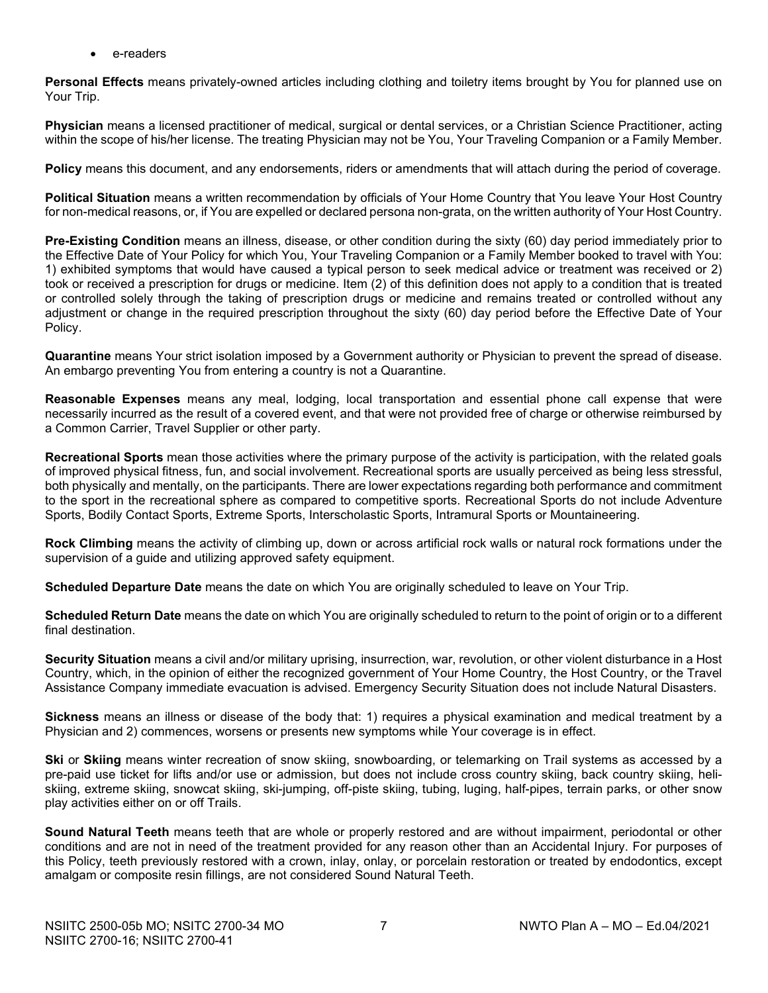e-readers

**Personal Effects** means privately-owned articles including clothing and toiletry items brought by You for planned use on Your Trip.

**Physician** means a licensed practitioner of medical, surgical or dental services, or a Christian Science Practitioner, acting within the scope of his/her license. The treating Physician may not be You, Your Traveling Companion or a Family Member.

**Policy** means this document, and any endorsements, riders or amendments that will attach during the period of coverage.

**Political Situation** means a written recommendation by officials of Your Home Country that You leave Your Host Country for non-medical reasons, or, if You are expelled or declared persona non-grata, on the written authority of Your Host Country.

**Pre-Existing Condition** means an illness, disease, or other condition during the sixty (60) day period immediately prior to the Effective Date of Your Policy for which You, Your Traveling Companion or a Family Member booked to travel with You: 1) exhibited symptoms that would have caused a typical person to seek medical advice or treatment was received or 2) took or received a prescription for drugs or medicine. Item (2) of this definition does not apply to a condition that is treated or controlled solely through the taking of prescription drugs or medicine and remains treated or controlled without any adjustment or change in the required prescription throughout the sixty (60) day period before the Effective Date of Your Policy.

**Quarantine** means Your strict isolation imposed by a Government authority or Physician to prevent the spread of disease. An embargo preventing You from entering a country is not a Quarantine.

**Reasonable Expenses** means any meal, lodging, local transportation and essential phone call expense that were necessarily incurred as the result of a covered event, and that were not provided free of charge or otherwise reimbursed by a Common Carrier, Travel Supplier or other party.

**Recreational Sports** mean those activities where the primary purpose of the activity is participation, with the related goals of improved physical fitness, fun, and social involvement. Recreational sports are usually perceived as being less stressful, both physically and mentally, on the participants. There are lower expectations regarding both performance and commitment to the sport in the recreational sphere as compared to competitive sports. Recreational Sports do not include Adventure Sports, Bodily Contact Sports, Extreme Sports, Interscholastic Sports, Intramural Sports or Mountaineering.

**Rock Climbing** means the activity of climbing up, down or across artificial rock walls or natural rock formations under the supervision of a guide and utilizing approved safety equipment.

**Scheduled Departure Date** means the date on which You are originally scheduled to leave on Your Trip.

**Scheduled Return Date** means the date on which You are originally scheduled to return to the point of origin or to a different final destination.

**Security Situation** means a civil and/or military uprising, insurrection, war, revolution, or other violent disturbance in a Host Country, which, in the opinion of either the recognized government of Your Home Country, the Host Country, or the Travel Assistance Company immediate evacuation is advised. Emergency Security Situation does not include Natural Disasters.

**Sickness** means an illness or disease of the body that: 1) requires a physical examination and medical treatment by a Physician and 2) commences, worsens or presents new symptoms while Your coverage is in effect.

**Ski** or **Skiing** means winter recreation of snow skiing, snowboarding, or telemarking on Trail systems as accessed by a pre-paid use ticket for lifts and/or use or admission, but does not include cross country skiing, back country skiing, heliskiing, extreme skiing, snowcat skiing, ski-jumping, off-piste skiing, tubing, luging, half-pipes, terrain parks, or other snow play activities either on or off Trails.

**Sound Natural Teeth** means teeth that are whole or properly restored and are without impairment, periodontal or other conditions and are not in need of the treatment provided for any reason other than an Accidental Injury. For purposes of this Policy, teeth previously restored with a crown, inlay, onlay, or porcelain restoration or treated by endodontics, except amalgam or composite resin fillings, are not considered Sound Natural Teeth.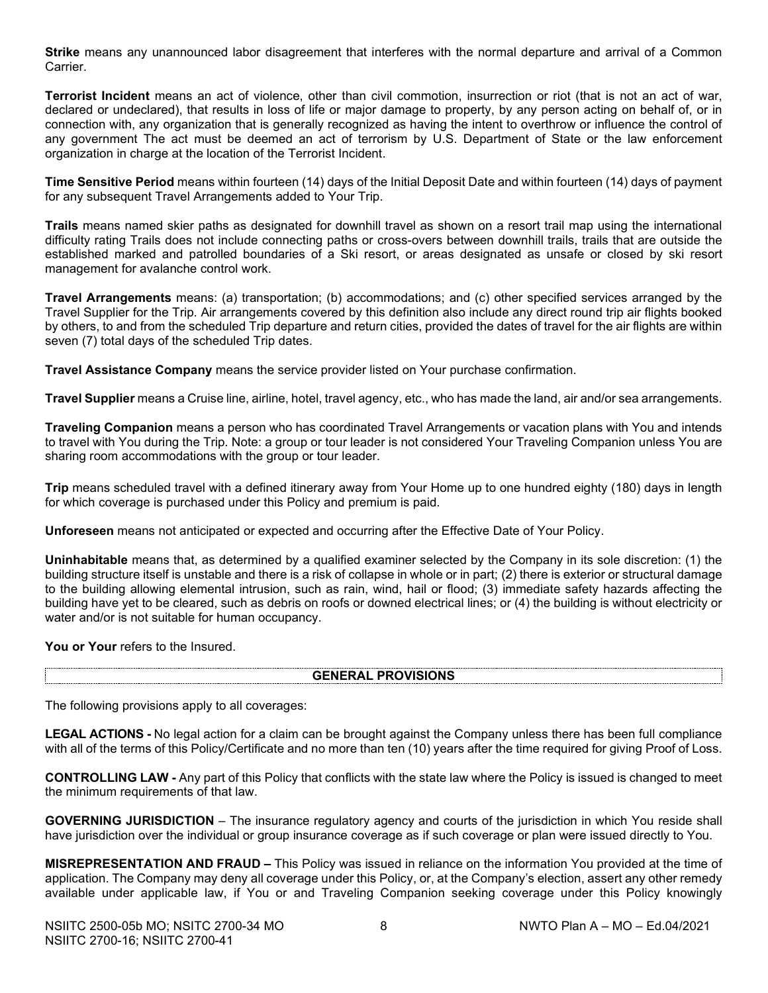**Strike** means any unannounced labor disagreement that interferes with the normal departure and arrival of a Common Carrier.

**Terrorist Incident** means an act of violence, other than civil commotion, insurrection or riot (that is not an act of war, declared or undeclared), that results in loss of life or major damage to property, by any person acting on behalf of, or in connection with, any organization that is generally recognized as having the intent to overthrow or influence the control of any government The act must be deemed an act of terrorism by U.S. Department of State or the law enforcement organization in charge at the location of the Terrorist Incident.

**Time Sensitive Period** means within fourteen (14) days of the Initial Deposit Date and within fourteen (14) days of payment for any subsequent Travel Arrangements added to Your Trip.

**Trails** means named skier paths as designated for downhill travel as shown on a resort trail map using the international difficulty rating Trails does not include connecting paths or cross-overs between downhill trails, trails that are outside the established marked and patrolled boundaries of a Ski resort, or areas designated as unsafe or closed by ski resort management for avalanche control work.

**Travel Arrangements** means: (a) transportation; (b) accommodations; and (c) other specified services arranged by the Travel Supplier for the Trip. Air arrangements covered by this definition also include any direct round trip air flights booked by others, to and from the scheduled Trip departure and return cities, provided the dates of travel for the air flights are within seven (7) total days of the scheduled Trip dates.

**Travel Assistance Company** means the service provider listed on Your purchase confirmation.

**Travel Supplier** means a Cruise line, airline, hotel, travel agency, etc., who has made the land, air and/or sea arrangements.

**Traveling Companion** means a person who has coordinated Travel Arrangements or vacation plans with You and intends to travel with You during the Trip. Note: a group or tour leader is not considered Your Traveling Companion unless You are sharing room accommodations with the group or tour leader.

**Trip** means scheduled travel with a defined itinerary away from Your Home up to one hundred eighty (180) days in length for which coverage is purchased under this Policy and premium is paid.

**Unforeseen** means not anticipated or expected and occurring after the Effective Date of Your Policy.

**Uninhabitable** means that, as determined by a qualified examiner selected by the Company in its sole discretion: (1) the building structure itself is unstable and there is a risk of collapse in whole or in part; (2) there is exterior or structural damage to the building allowing elemental intrusion, such as rain, wind, hail or flood; (3) immediate safety hazards affecting the building have yet to be cleared, such as debris on roofs or downed electrical lines; or (4) the building is without electricity or water and/or is not suitable for human occupancy.

**You or Your** refers to the Insured.

#### **GENERAL PROVISIONS**

The following provisions apply to all coverages:

**LEGAL ACTIONS -** No legal action for a claim can be brought against the Company unless there has been full compliance with all of the terms of this Policy/Certificate and no more than ten (10) years after the time required for giving Proof of Loss.

**CONTROLLING LAW -** Any part of this Policy that conflicts with the state law where the Policy is issued is changed to meet the minimum requirements of that law.

**GOVERNING JURISDICTION** – The insurance regulatory agency and courts of the jurisdiction in which You reside shall have jurisdiction over the individual or group insurance coverage as if such coverage or plan were issued directly to You.

**MISREPRESENTATION AND FRAUD –** This Policy was issued in reliance on the information You provided at the time of application. The Company may deny all coverage under this Policy, or, at the Company's election, assert any other remedy available under applicable law, if You or and Traveling Companion seeking coverage under this Policy knowingly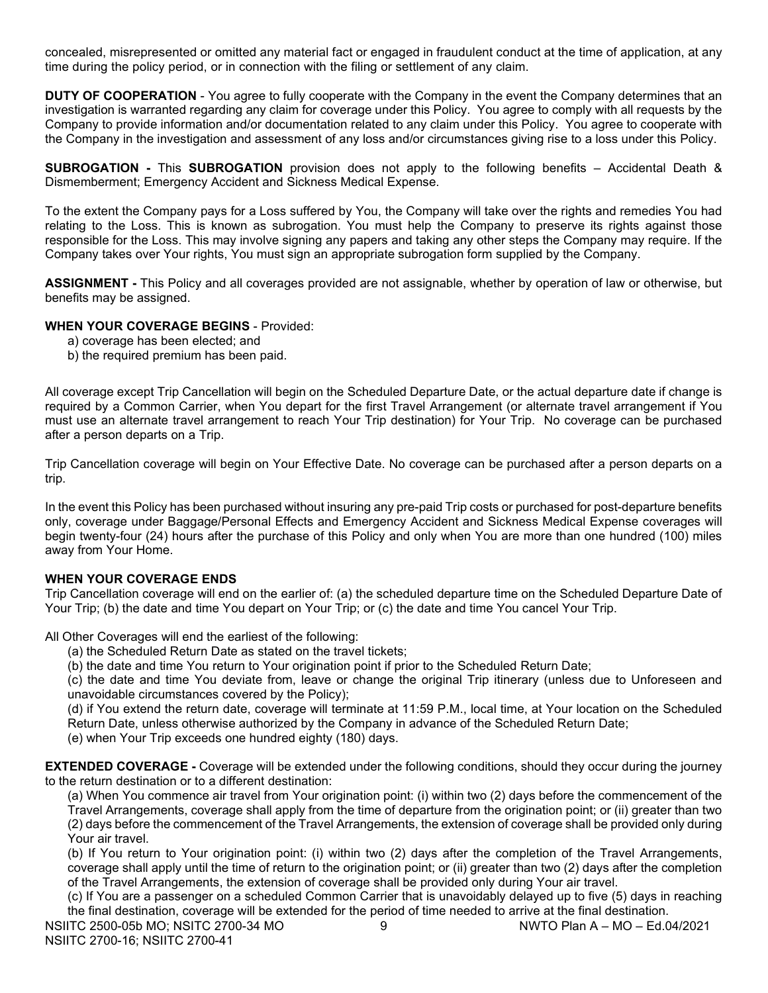concealed, misrepresented or omitted any material fact or engaged in fraudulent conduct at the time of application, at any time during the policy period, or in connection with the filing or settlement of any claim.

**DUTY OF COOPERATION** - You agree to fully cooperate with the Company in the event the Company determines that an investigation is warranted regarding any claim for coverage under this Policy. You agree to comply with all requests by the Company to provide information and/or documentation related to any claim under this Policy. You agree to cooperate with the Company in the investigation and assessment of any loss and/or circumstances giving rise to a loss under this Policy.

**SUBROGATION -** This **SUBROGATION** provision does not apply to the following benefits – Accidental Death & Dismemberment; Emergency Accident and Sickness Medical Expense.

To the extent the Company pays for a Loss suffered by You, the Company will take over the rights and remedies You had relating to the Loss. This is known as subrogation. You must help the Company to preserve its rights against those responsible for the Loss. This may involve signing any papers and taking any other steps the Company may require. If the Company takes over Your rights, You must sign an appropriate subrogation form supplied by the Company.

**ASSIGNMENT -** This Policy and all coverages provided are not assignable, whether by operation of law or otherwise, but benefits may be assigned.

# **WHEN YOUR COVERAGE BEGINS** - Provided:

- a) coverage has been elected; and
- b) the required premium has been paid.

All coverage except Trip Cancellation will begin on the Scheduled Departure Date, or the actual departure date if change is required by a Common Carrier, when You depart for the first Travel Arrangement (or alternate travel arrangement if You must use an alternate travel arrangement to reach Your Trip destination) for Your Trip. No coverage can be purchased after a person departs on a Trip.

Trip Cancellation coverage will begin on Your Effective Date. No coverage can be purchased after a person departs on a trip.

In the event this Policy has been purchased without insuring any pre-paid Trip costs or purchased for post-departure benefits only, coverage under Baggage/Personal Effects and Emergency Accident and Sickness Medical Expense coverages will begin twenty-four (24) hours after the purchase of this Policy and only when You are more than one hundred (100) miles away from Your Home.

# **WHEN YOUR COVERAGE ENDS**

Trip Cancellation coverage will end on the earlier of: (a) the scheduled departure time on the Scheduled Departure Date of Your Trip; (b) the date and time You depart on Your Trip; or (c) the date and time You cancel Your Trip.

All Other Coverages will end the earliest of the following:

- (a) the Scheduled Return Date as stated on the travel tickets;
- (b) the date and time You return to Your origination point if prior to the Scheduled Return Date;

(c) the date and time You deviate from, leave or change the original Trip itinerary (unless due to Unforeseen and unavoidable circumstances covered by the Policy);

(d) if You extend the return date, coverage will terminate at 11:59 P.M., local time, at Your location on the Scheduled Return Date, unless otherwise authorized by the Company in advance of the Scheduled Return Date;

(e) when Your Trip exceeds one hundred eighty (180) days.

**EXTENDED COVERAGE -** Coverage will be extended under the following conditions, should they occur during the journey to the return destination or to a different destination:

(a) When You commence air travel from Your origination point: (i) within two (2) days before the commencement of the Travel Arrangements, coverage shall apply from the time of departure from the origination point; or (ii) greater than two (2) days before the commencement of the Travel Arrangements, the extension of coverage shall be provided only during Your air travel.

(b) If You return to Your origination point: (i) within two (2) days after the completion of the Travel Arrangements, coverage shall apply until the time of return to the origination point; or (ii) greater than two (2) days after the completion of the Travel Arrangements, the extension of coverage shall be provided only during Your air travel.

(c) If You are a passenger on a scheduled Common Carrier that is unavoidably delayed up to five (5) days in reaching the final destination, coverage will be extended for the period of time needed to arrive at the final destination.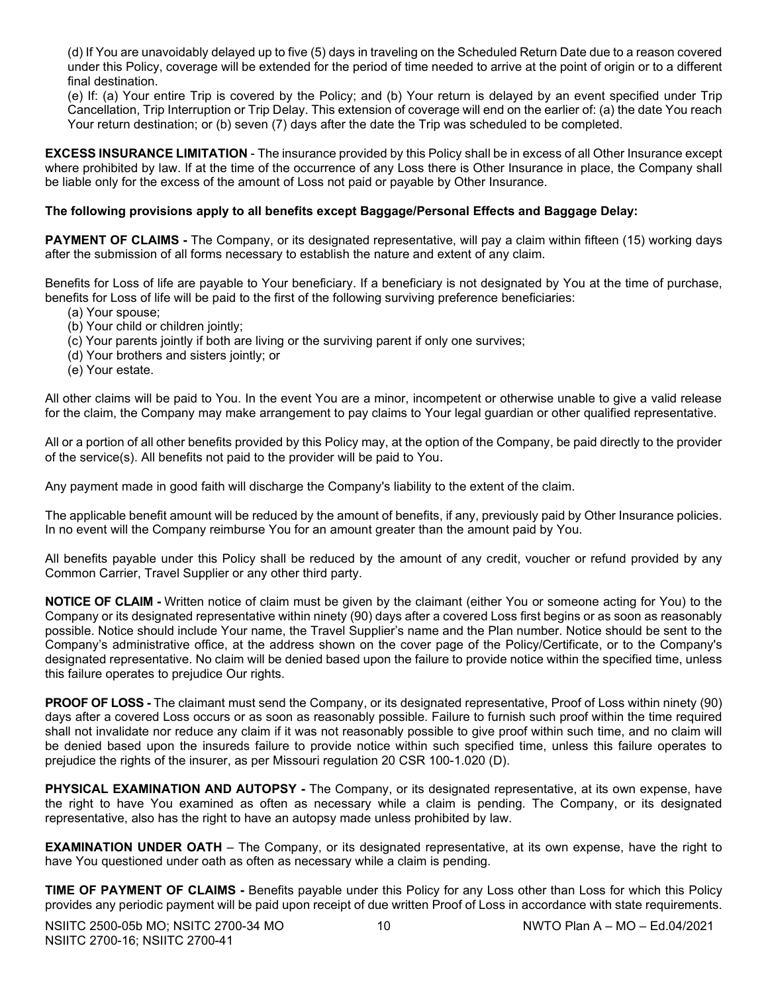(d) If You are unavoidably delayed up to five (5) days in traveling on the Scheduled Return Date due to a reason covered under this Policy, coverage will be extended for the period of time needed to arrive at the point of origin or to a different final destination.

(e) If: (a) Your entire Trip is covered by the Policy; and (b) Your return is delayed by an event specified under Trip Cancellation, Trip Interruption or Trip Delay. This extension of coverage will end on the earlier of: (a) the date You reach Your return destination; or (b) seven (7) days after the date the Trip was scheduled to be completed.

**EXCESS INSURANCE LIMITATION** - The insurance provided by this Policy shall be in excess of all Other Insurance except where prohibited by law. If at the time of the occurrence of any Loss there is Other Insurance in place, the Company shall be liable only for the excess of the amount of Loss not paid or payable by Other Insurance.

# **The following provisions apply to all benefits except Baggage/Personal Effects and Baggage Delay:**

**PAYMENT OF CLAIMS -** The Company, or its designated representative, will pay a claim within fifteen (15) working days after the submission of all forms necessary to establish the nature and extent of any claim.

Benefits for Loss of life are payable to Your beneficiary. If a beneficiary is not designated by You at the time of purchase, benefits for Loss of life will be paid to the first of the following surviving preference beneficiaries:

- (a) Your spouse;
- (b) Your child or children jointly;
- (c) Your parents jointly if both are living or the surviving parent if only one survives;
- (d) Your brothers and sisters jointly; or
- (e) Your estate.

All other claims will be paid to You. In the event You are a minor, incompetent or otherwise unable to give a valid release for the claim, the Company may make arrangement to pay claims to Your legal guardian or other qualified representative.

All or a portion of all other benefits provided by this Policy may, at the option of the Company, be paid directly to the provider of the service(s). All benefits not paid to the provider will be paid to You.

Any payment made in good faith will discharge the Company's liability to the extent of the claim.

The applicable benefit amount will be reduced by the amount of benefits, if any, previously paid by Other Insurance policies. In no event will the Company reimburse You for an amount greater than the amount paid by You.

All benefits payable under this Policy shall be reduced by the amount of any credit, voucher or refund provided by any Common Carrier, Travel Supplier or any other third party.

**NOTICE OF CLAIM -** Written notice of claim must be given by the claimant (either You or someone acting for You) to the Company or its designated representative within ninety (90) days after a covered Loss first begins or as soon as reasonably possible. Notice should include Your name, the Travel Supplier's name and the Plan number. Notice should be sent to the Company's administrative office, at the address shown on the cover page of the Policy/Certificate, or to the Company's designated representative. No claim will be denied based upon the failure to provide notice within the specified time, unless this failure operates to prejudice Our rights.

**PROOF OF LOSS -** The claimant must send the Company, or its designated representative, Proof of Loss within ninety (90) days after a covered Loss occurs or as soon as reasonably possible. Failure to furnish such proof within the time required shall not invalidate nor reduce any claim if it was not reasonably possible to give proof within such time, and no claim will be denied based upon the insureds failure to provide notice within such specified time, unless this failure operates to prejudice the rights of the insurer, as per Missouri regulation 20 CSR 100-1.020 (D).

**PHYSICAL EXAMINATION AND AUTOPSY -** The Company, or its designated representative, at its own expense, have the right to have You examined as often as necessary while a claim is pending. The Company, or its designated representative, also has the right to have an autopsy made unless prohibited by law.

**EXAMINATION UNDER OATH** – The Company, or its designated representative, at its own expense, have the right to have You questioned under oath as often as necessary while a claim is pending.

**TIME OF PAYMENT OF CLAIMS -** Benefits payable under this Policy for any Loss other than Loss for which this Policy provides any periodic payment will be paid upon receipt of due written Proof of Loss in accordance with state requirements.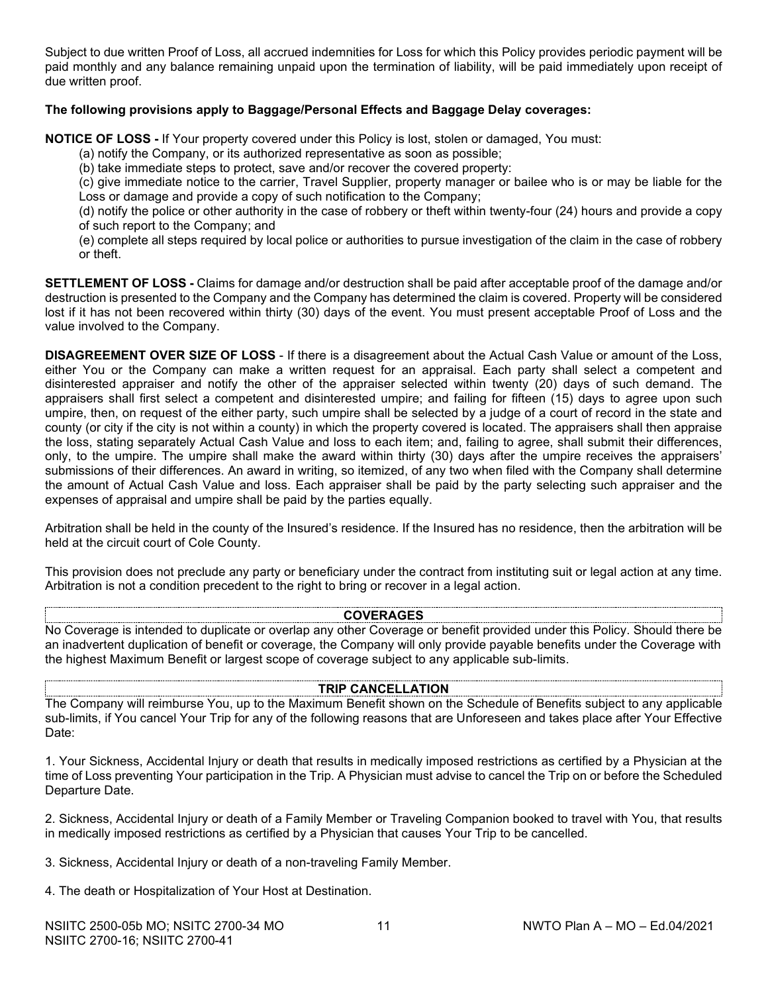Subject to due written Proof of Loss, all accrued indemnities for Loss for which this Policy provides periodic payment will be paid monthly and any balance remaining unpaid upon the termination of liability, will be paid immediately upon receipt of due written proof.

#### **The following provisions apply to Baggage/Personal Effects and Baggage Delay coverages:**

**NOTICE OF LOSS -** If Your property covered under this Policy is lost, stolen or damaged, You must:

(a) notify the Company, or its authorized representative as soon as possible;

(b) take immediate steps to protect, save and/or recover the covered property:

(c) give immediate notice to the carrier, Travel Supplier, property manager or bailee who is or may be liable for the Loss or damage and provide a copy of such notification to the Company;

(d) notify the police or other authority in the case of robbery or theft within twenty-four (24) hours and provide a copy of such report to the Company; and

(e) complete all steps required by local police or authorities to pursue investigation of the claim in the case of robbery or theft.

**SETTLEMENT OF LOSS -** Claims for damage and/or destruction shall be paid after acceptable proof of the damage and/or destruction is presented to the Company and the Company has determined the claim is covered. Property will be considered lost if it has not been recovered within thirty (30) days of the event. You must present acceptable Proof of Loss and the value involved to the Company.

**DISAGREEMENT OVER SIZE OF LOSS** - If there is a disagreement about the Actual Cash Value or amount of the Loss, either You or the Company can make a written request for an appraisal. Each party shall select a competent and disinterested appraiser and notify the other of the appraiser selected within twenty (20) days of such demand. The appraisers shall first select a competent and disinterested umpire; and failing for fifteen (15) days to agree upon such umpire, then, on request of the either party, such umpire shall be selected by a judge of a court of record in the state and county (or city if the city is not within a county) in which the property covered is located. The appraisers shall then appraise the loss, stating separately Actual Cash Value and loss to each item; and, failing to agree, shall submit their differences, only, to the umpire. The umpire shall make the award within thirty (30) days after the umpire receives the appraisers' submissions of their differences. An award in writing, so itemized, of any two when filed with the Company shall determine the amount of Actual Cash Value and loss. Each appraiser shall be paid by the party selecting such appraiser and the expenses of appraisal and umpire shall be paid by the parties equally.

Arbitration shall be held in the county of the Insured's residence. If the Insured has no residence, then the arbitration will be held at the circuit court of Cole County.

This provision does not preclude any party or beneficiary under the contract from instituting suit or legal action at any time. Arbitration is not a condition precedent to the right to bring or recover in a legal action.

# **COVERAGES**

No Coverage is intended to duplicate or overlap any other Coverage or benefit provided under this Policy. Should there be an inadvertent duplication of benefit or coverage, the Company will only provide payable benefits under the Coverage with the highest Maximum Benefit or largest scope of coverage subject to any applicable sub-limits.

#### **TRIP CANCELLATION**

The Company will reimburse You, up to the Maximum Benefit shown on the Schedule of Benefits subject to any applicable sub-limits, if You cancel Your Trip for any of the following reasons that are Unforeseen and takes place after Your Effective Date:

1. Your Sickness, Accidental Injury or death that results in medically imposed restrictions as certified by a Physician at the time of Loss preventing Your participation in the Trip. A Physician must advise to cancel the Trip on or before the Scheduled Departure Date.

2. Sickness, Accidental Injury or death of a Family Member or Traveling Companion booked to travel with You, that results in medically imposed restrictions as certified by a Physician that causes Your Trip to be cancelled.

3. Sickness, Accidental Injury or death of a non-traveling Family Member.

4. The death or Hospitalization of Your Host at Destination.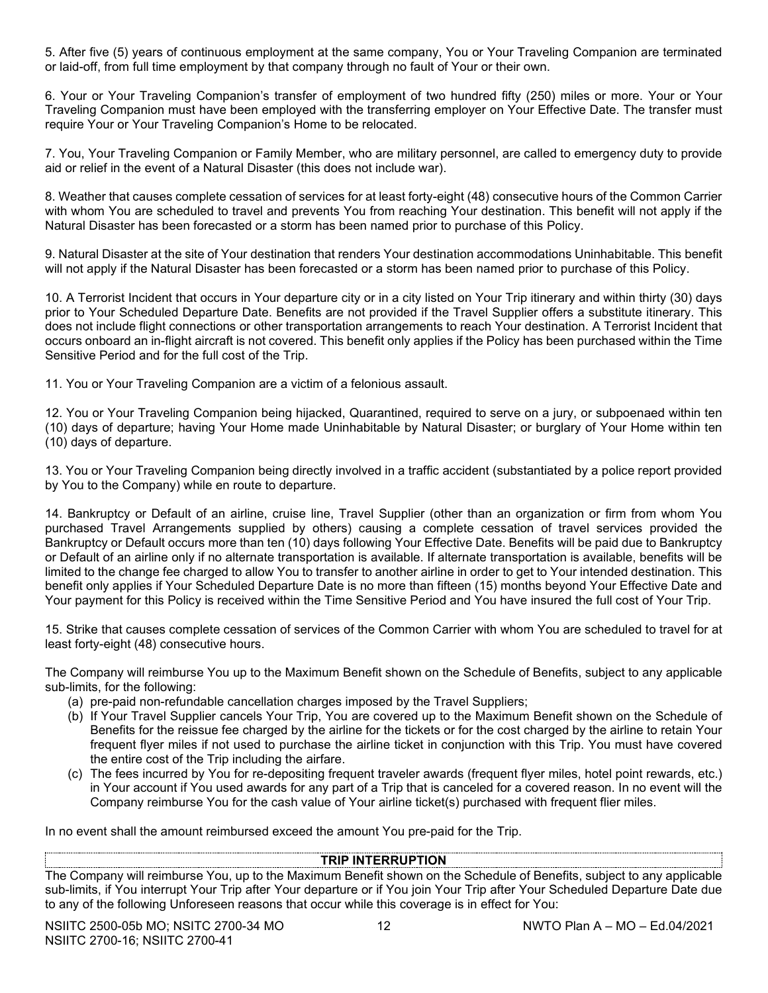5. After five (5) years of continuous employment at the same company, You or Your Traveling Companion are terminated or laid-off, from full time employment by that company through no fault of Your or their own.

6. Your or Your Traveling Companion's transfer of employment of two hundred fifty (250) miles or more. Your or Your Traveling Companion must have been employed with the transferring employer on Your Effective Date. The transfer must require Your or Your Traveling Companion's Home to be relocated.

7. You, Your Traveling Companion or Family Member, who are military personnel, are called to emergency duty to provide aid or relief in the event of a Natural Disaster (this does not include war).

8. Weather that causes complete cessation of services for at least forty-eight (48) consecutive hours of the Common Carrier with whom You are scheduled to travel and prevents You from reaching Your destination. This benefit will not apply if the Natural Disaster has been forecasted or a storm has been named prior to purchase of this Policy.

9. Natural Disaster at the site of Your destination that renders Your destination accommodations Uninhabitable. This benefit will not apply if the Natural Disaster has been forecasted or a storm has been named prior to purchase of this Policy.

10. A Terrorist Incident that occurs in Your departure city or in a city listed on Your Trip itinerary and within thirty (30) days prior to Your Scheduled Departure Date. Benefits are not provided if the Travel Supplier offers a substitute itinerary. This does not include flight connections or other transportation arrangements to reach Your destination. A Terrorist Incident that occurs onboard an in-flight aircraft is not covered. This benefit only applies if the Policy has been purchased within the Time Sensitive Period and for the full cost of the Trip.

11. You or Your Traveling Companion are a victim of a felonious assault.

12. You or Your Traveling Companion being hijacked, Quarantined, required to serve on a jury, or subpoenaed within ten (10) days of departure; having Your Home made Uninhabitable by Natural Disaster; or burglary of Your Home within ten (10) days of departure.

13. You or Your Traveling Companion being directly involved in a traffic accident (substantiated by a police report provided by You to the Company) while en route to departure.

14. Bankruptcy or Default of an airline, cruise line, Travel Supplier (other than an organization or firm from whom You purchased Travel Arrangements supplied by others) causing a complete cessation of travel services provided the Bankruptcy or Default occurs more than ten (10) days following Your Effective Date. Benefits will be paid due to Bankruptcy or Default of an airline only if no alternate transportation is available. If alternate transportation is available, benefits will be limited to the change fee charged to allow You to transfer to another airline in order to get to Your intended destination. This benefit only applies if Your Scheduled Departure Date is no more than fifteen (15) months beyond Your Effective Date and Your payment for this Policy is received within the Time Sensitive Period and You have insured the full cost of Your Trip.

15. Strike that causes complete cessation of services of the Common Carrier with whom You are scheduled to travel for at least forty-eight (48) consecutive hours.

The Company will reimburse You up to the Maximum Benefit shown on the Schedule of Benefits, subject to any applicable sub-limits, for the following:

- (a) pre-paid non-refundable cancellation charges imposed by the Travel Suppliers;
- (b) If Your Travel Supplier cancels Your Trip, You are covered up to the Maximum Benefit shown on the Schedule of Benefits for the reissue fee charged by the airline for the tickets or for the cost charged by the airline to retain Your frequent flyer miles if not used to purchase the airline ticket in conjunction with this Trip. You must have covered the entire cost of the Trip including the airfare.
- (c) The fees incurred by You for re-depositing frequent traveler awards (frequent flyer miles, hotel point rewards, etc.) in Your account if You used awards for any part of a Trip that is canceled for a covered reason. In no event will the Company reimburse You for the cash value of Your airline ticket(s) purchased with frequent flier miles.

In no event shall the amount reimbursed exceed the amount You pre-paid for the Trip.

# **TRIP INTERRUPTION**

The Company will reimburse You, up to the Maximum Benefit shown on the Schedule of Benefits, subject to any applicable sub-limits, if You interrupt Your Trip after Your departure or if You join Your Trip after Your Scheduled Departure Date due to any of the following Unforeseen reasons that occur while this coverage is in effect for You: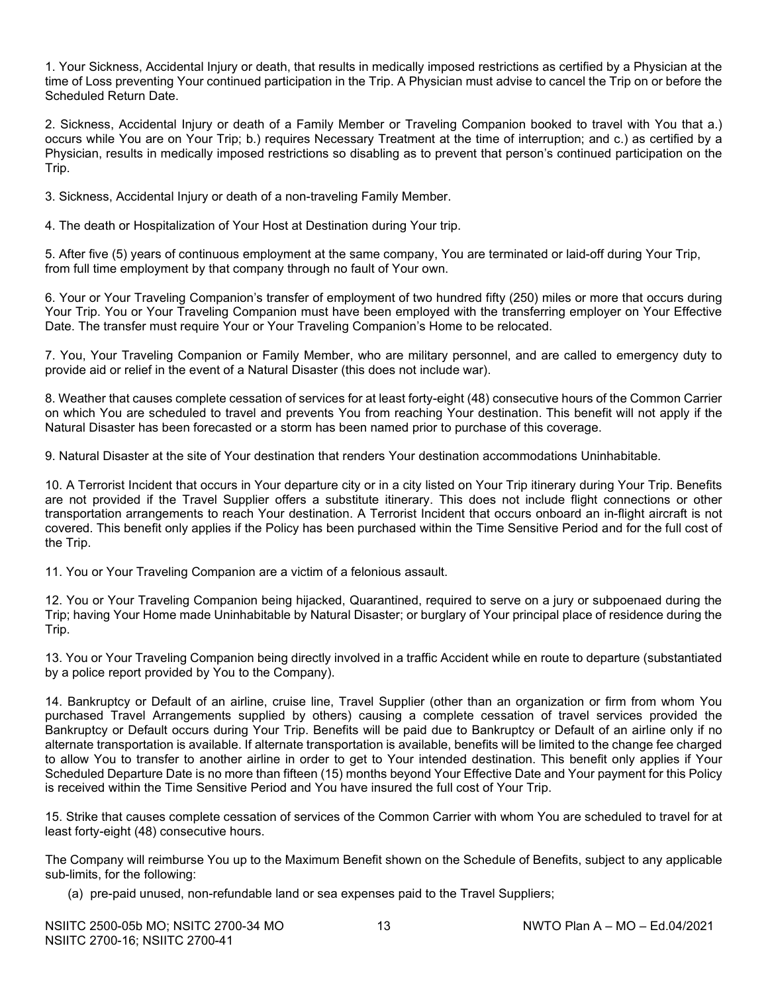1. Your Sickness, Accidental Injury or death, that results in medically imposed restrictions as certified by a Physician at the time of Loss preventing Your continued participation in the Trip. A Physician must advise to cancel the Trip on or before the Scheduled Return Date.

2. Sickness, Accidental Injury or death of a Family Member or Traveling Companion booked to travel with You that a.) occurs while You are on Your Trip; b.) requires Necessary Treatment at the time of interruption; and c.) as certified by a Physician, results in medically imposed restrictions so disabling as to prevent that person's continued participation on the Trip.

3. Sickness, Accidental Injury or death of a non-traveling Family Member.

4. The death or Hospitalization of Your Host at Destination during Your trip.

5. After five (5) years of continuous employment at the same company, You are terminated or laid-off during Your Trip, from full time employment by that company through no fault of Your own.

6. Your or Your Traveling Companion's transfer of employment of two hundred fifty (250) miles or more that occurs during Your Trip. You or Your Traveling Companion must have been employed with the transferring employer on Your Effective Date. The transfer must require Your or Your Traveling Companion's Home to be relocated.

7. You, Your Traveling Companion or Family Member, who are military personnel, and are called to emergency duty to provide aid or relief in the event of a Natural Disaster (this does not include war).

8. Weather that causes complete cessation of services for at least forty-eight (48) consecutive hours of the Common Carrier on which You are scheduled to travel and prevents You from reaching Your destination. This benefit will not apply if the Natural Disaster has been forecasted or a storm has been named prior to purchase of this coverage.

9. Natural Disaster at the site of Your destination that renders Your destination accommodations Uninhabitable.

10. A Terrorist Incident that occurs in Your departure city or in a city listed on Your Trip itinerary during Your Trip. Benefits are not provided if the Travel Supplier offers a substitute itinerary. This does not include flight connections or other transportation arrangements to reach Your destination. A Terrorist Incident that occurs onboard an in-flight aircraft is not covered. This benefit only applies if the Policy has been purchased within the Time Sensitive Period and for the full cost of the Trip.

11. You or Your Traveling Companion are a victim of a felonious assault.

12. You or Your Traveling Companion being hijacked, Quarantined, required to serve on a jury or subpoenaed during the Trip; having Your Home made Uninhabitable by Natural Disaster; or burglary of Your principal place of residence during the Trip.

13. You or Your Traveling Companion being directly involved in a traffic Accident while en route to departure (substantiated by a police report provided by You to the Company).

14. Bankruptcy or Default of an airline, cruise line, Travel Supplier (other than an organization or firm from whom You purchased Travel Arrangements supplied by others) causing a complete cessation of travel services provided the Bankruptcy or Default occurs during Your Trip. Benefits will be paid due to Bankruptcy or Default of an airline only if no alternate transportation is available. If alternate transportation is available, benefits will be limited to the change fee charged to allow You to transfer to another airline in order to get to Your intended destination. This benefit only applies if Your Scheduled Departure Date is no more than fifteen (15) months beyond Your Effective Date and Your payment for this Policy is received within the Time Sensitive Period and You have insured the full cost of Your Trip.

15. Strike that causes complete cessation of services of the Common Carrier with whom You are scheduled to travel for at least forty-eight (48) consecutive hours.

The Company will reimburse You up to the Maximum Benefit shown on the Schedule of Benefits, subject to any applicable sub-limits, for the following:

(a) pre-paid unused, non-refundable land or sea expenses paid to the Travel Suppliers;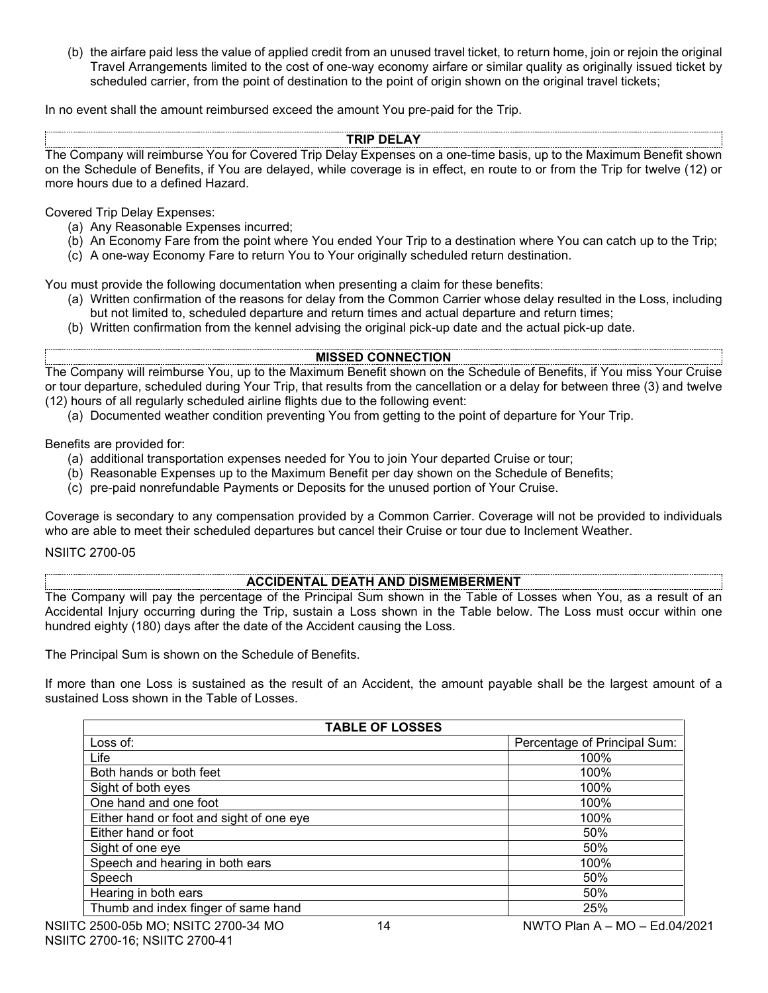(b) the airfare paid less the value of applied credit from an unused travel ticket, to return home, join or rejoin the original Travel Arrangements limited to the cost of one-way economy airfare or similar quality as originally issued ticket by scheduled carrier, from the point of destination to the point of origin shown on the original travel tickets;

In no event shall the amount reimbursed exceed the amount You pre-paid for the Trip.

#### **TRIP DELAY**

The Company will reimburse You for Covered Trip Delay Expenses on a one-time basis, up to the Maximum Benefit shown on the Schedule of Benefits, if You are delayed, while coverage is in effect, en route to or from the Trip for twelve (12) or more hours due to a defined Hazard.

Covered Trip Delay Expenses:

- (a) Any Reasonable Expenses incurred;
- (b) An Economy Fare from the point where You ended Your Trip to a destination where You can catch up to the Trip;
- (c) A one-way Economy Fare to return You to Your originally scheduled return destination.

You must provide the following documentation when presenting a claim for these benefits:

- (a) Written confirmation of the reasons for delay from the Common Carrier whose delay resulted in the Loss, including but not limited to, scheduled departure and return times and actual departure and return times;
- (b) Written confirmation from the kennel advising the original pick-up date and the actual pick-up date.

# **MISSED CONNECTION**

The Company will reimburse You, up to the Maximum Benefit shown on the Schedule of Benefits, if You miss Your Cruise or tour departure, scheduled during Your Trip, that results from the cancellation or a delay for between three (3) and twelve (12) hours of all regularly scheduled airline flights due to the following event:

(a) Documented weather condition preventing You from getting to the point of departure for Your Trip.

Benefits are provided for:

- (a) additional transportation expenses needed for You to join Your departed Cruise or tour;
- (b) Reasonable Expenses up to the Maximum Benefit per day shown on the Schedule of Benefits;
- (c) pre-paid nonrefundable Payments or Deposits for the unused portion of Your Cruise.

Coverage is secondary to any compensation provided by a Common Carrier. Coverage will not be provided to individuals who are able to meet their scheduled departures but cancel their Cruise or tour due to Inclement Weather.

#### NSIITC 2700-05

# **ACCIDENTAL DEATH AND DISMEMBERMENT**

The Company will pay the percentage of the Principal Sum shown in the Table of Losses when You, as a result of an Accidental Injury occurring during the Trip, sustain a Loss shown in the Table below. The Loss must occur within one hundred eighty (180) days after the date of the Accident causing the Loss.

The Principal Sum is shown on the Schedule of Benefits.

If more than one Loss is sustained as the result of an Accident, the amount payable shall be the largest amount of a sustained Loss shown in the Table of Losses.

| <b>TABLE OF LOSSES</b>                   |                              |  |  |
|------------------------------------------|------------------------------|--|--|
| Loss of:                                 | Percentage of Principal Sum: |  |  |
| Life                                     | 100%                         |  |  |
| Both hands or both feet                  | 100%                         |  |  |
| Sight of both eyes                       | 100%                         |  |  |
| One hand and one foot                    | 100%                         |  |  |
| Either hand or foot and sight of one eye | 100%                         |  |  |
| Either hand or foot                      | 50%                          |  |  |
| Sight of one eye                         | 50%                          |  |  |
| Speech and hearing in both ears          | 100%                         |  |  |
| Speech                                   | 50%                          |  |  |
| Hearing in both ears                     | 50%                          |  |  |
| Thumb and index finger of same hand      | 25%                          |  |  |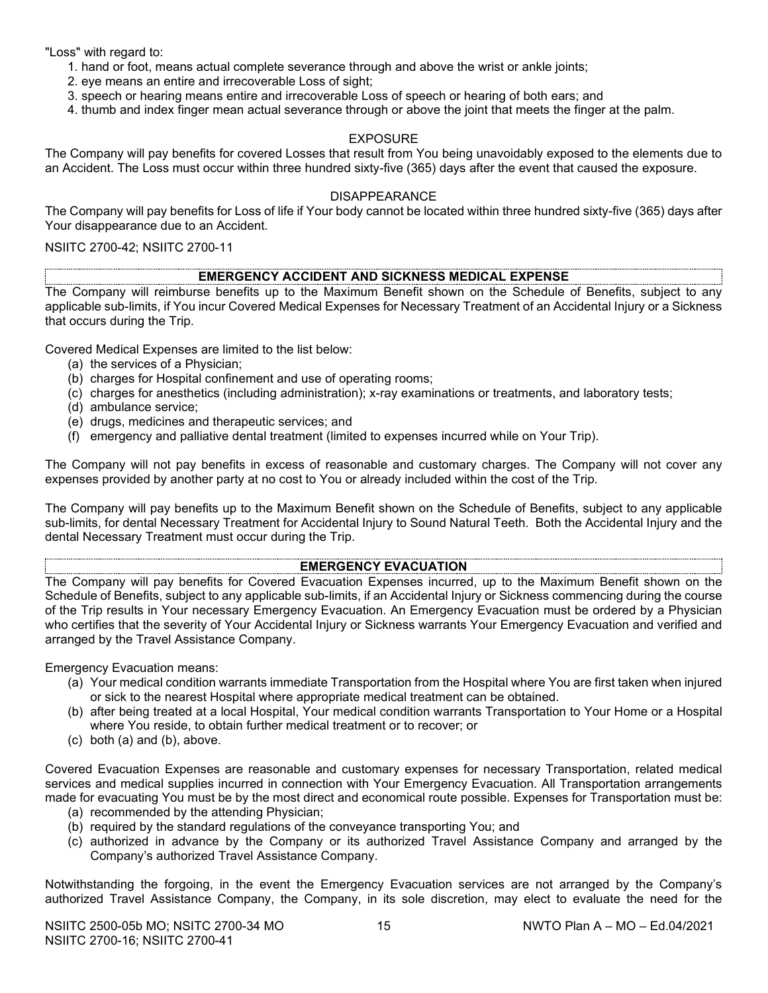"Loss" with regard to:

- 1. hand or foot, means actual complete severance through and above the wrist or ankle joints;
- 2. eye means an entire and irrecoverable Loss of sight;
- 3. speech or hearing means entire and irrecoverable Loss of speech or hearing of both ears; and
- 4. thumb and index finger mean actual severance through or above the joint that meets the finger at the palm.

#### EXPOSURE

The Company will pay benefits for covered Losses that result from You being unavoidably exposed to the elements due to an Accident. The Loss must occur within three hundred sixty-five (365) days after the event that caused the exposure.

#### DISAPPEARANCE

The Company will pay benefits for Loss of life if Your body cannot be located within three hundred sixty-five (365) days after Your disappearance due to an Accident.

#### NSIITC 2700-42; NSIITC 2700-11

#### **EMERGENCY ACCIDENT AND SICKNESS MEDICAL EXPENSE**

The Company will reimburse benefits up to the Maximum Benefit shown on the Schedule of Benefits, subject to any applicable sub-limits, if You incur Covered Medical Expenses for Necessary Treatment of an Accidental Injury or a Sickness that occurs during the Trip.

Covered Medical Expenses are limited to the list below:

- (a) the services of a Physician;
- (b) charges for Hospital confinement and use of operating rooms;
- (c) charges for anesthetics (including administration); x-ray examinations or treatments, and laboratory tests;
- (d) ambulance service;
- (e) drugs, medicines and therapeutic services; and
- (f) emergency and palliative dental treatment (limited to expenses incurred while on Your Trip).

The Company will not pay benefits in excess of reasonable and customary charges. The Company will not cover any expenses provided by another party at no cost to You or already included within the cost of the Trip.

The Company will pay benefits up to the Maximum Benefit shown on the Schedule of Benefits, subject to any applicable sub-limits, for dental Necessary Treatment for Accidental Injury to Sound Natural Teeth. Both the Accidental Injury and the dental Necessary Treatment must occur during the Trip.

# **EMERGENCY EVACUATION**

The Company will pay benefits for Covered Evacuation Expenses incurred, up to the Maximum Benefit shown on the Schedule of Benefits, subject to any applicable sub-limits, if an Accidental Injury or Sickness commencing during the course of the Trip results in Your necessary Emergency Evacuation. An Emergency Evacuation must be ordered by a Physician who certifies that the severity of Your Accidental Injury or Sickness warrants Your Emergency Evacuation and verified and arranged by the Travel Assistance Company.

Emergency Evacuation means:

- (a) Your medical condition warrants immediate Transportation from the Hospital where You are first taken when injured or sick to the nearest Hospital where appropriate medical treatment can be obtained.
- (b) after being treated at a local Hospital, Your medical condition warrants Transportation to Your Home or a Hospital where You reside, to obtain further medical treatment or to recover; or
- (c) both (a) and (b), above.

Covered Evacuation Expenses are reasonable and customary expenses for necessary Transportation, related medical services and medical supplies incurred in connection with Your Emergency Evacuation. All Transportation arrangements made for evacuating You must be by the most direct and economical route possible. Expenses for Transportation must be:

- (a) recommended by the attending Physician;
- (b) required by the standard regulations of the conveyance transporting You; and
- (c) authorized in advance by the Company or its authorized Travel Assistance Company and arranged by the Company's authorized Travel Assistance Company.

Notwithstanding the forgoing, in the event the Emergency Evacuation services are not arranged by the Company's authorized Travel Assistance Company, the Company, in its sole discretion, may elect to evaluate the need for the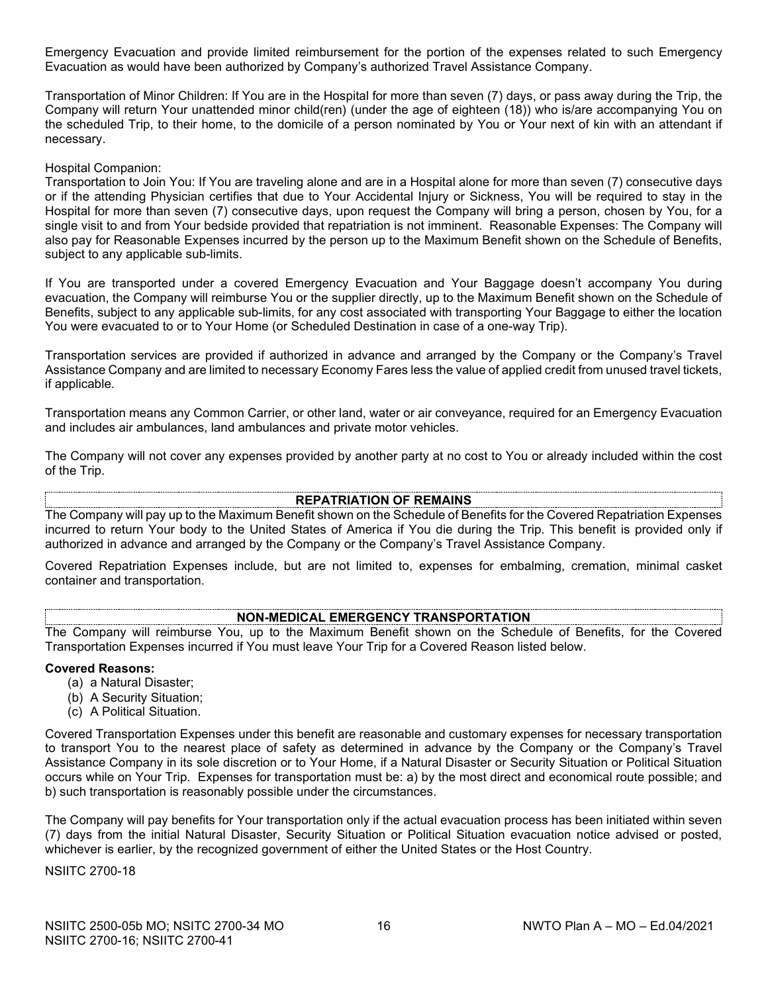Emergency Evacuation and provide limited reimbursement for the portion of the expenses related to such Emergency Evacuation as would have been authorized by Company's authorized Travel Assistance Company.

Transportation of Minor Children: If You are in the Hospital for more than seven (7) days, or pass away during the Trip, the Company will return Your unattended minor child(ren) (under the age of eighteen (18)) who is/are accompanying You on the scheduled Trip, to their home, to the domicile of a person nominated by You or Your next of kin with an attendant if necessary.

#### Hospital Companion:

Transportation to Join You: If You are traveling alone and are in a Hospital alone for more than seven (7) consecutive days or if the attending Physician certifies that due to Your Accidental Injury or Sickness, You will be required to stay in the Hospital for more than seven (7) consecutive days, upon request the Company will bring a person, chosen by You, for a single visit to and from Your bedside provided that repatriation is not imminent. Reasonable Expenses: The Company will also pay for Reasonable Expenses incurred by the person up to the Maximum Benefit shown on the Schedule of Benefits, subject to any applicable sub-limits.

If You are transported under a covered Emergency Evacuation and Your Baggage doesn't accompany You during evacuation, the Company will reimburse You or the supplier directly, up to the Maximum Benefit shown on the Schedule of Benefits, subject to any applicable sub-limits, for any cost associated with transporting Your Baggage to either the location You were evacuated to or to Your Home (or Scheduled Destination in case of a one-way Trip).

Transportation services are provided if authorized in advance and arranged by the Company or the Company's Travel Assistance Company and are limited to necessary Economy Fares less the value of applied credit from unused travel tickets, if applicable.

Transportation means any Common Carrier, or other land, water or air conveyance, required for an Emergency Evacuation and includes air ambulances, land ambulances and private motor vehicles.

The Company will not cover any expenses provided by another party at no cost to You or already included within the cost of the Trip.

#### **REPATRIATION OF REMAINS**

The Company will pay up to the Maximum Benefit shown on the Schedule of Benefits for the Covered Repatriation Expenses incurred to return Your body to the United States of America if You die during the Trip. This benefit is provided only if authorized in advance and arranged by the Company or the Company's Travel Assistance Company.

Covered Repatriation Expenses include, but are not limited to, expenses for embalming, cremation, minimal casket container and transportation.

#### **NON-MEDICAL EMERGENCY TRANSPORTATION**

The Company will reimburse You, up to the Maximum Benefit shown on the Schedule of Benefits, for the Covered Transportation Expenses incurred if You must leave Your Trip for a Covered Reason listed below.

#### **Covered Reasons:**

- (a) a Natural Disaster;
- (b) A Security Situation;
- (c) A Political Situation.

Covered Transportation Expenses under this benefit are reasonable and customary expenses for necessary transportation to transport You to the nearest place of safety as determined in advance by the Company or the Company's Travel Assistance Company in its sole discretion or to Your Home, if a Natural Disaster or Security Situation or Political Situation occurs while on Your Trip. Expenses for transportation must be: a) by the most direct and economical route possible; and b) such transportation is reasonably possible under the circumstances.

The Company will pay benefits for Your transportation only if the actual evacuation process has been initiated within seven (7) days from the initial Natural Disaster, Security Situation or Political Situation evacuation notice advised or posted, whichever is earlier, by the recognized government of either the United States or the Host Country.

NSIITC 2700-18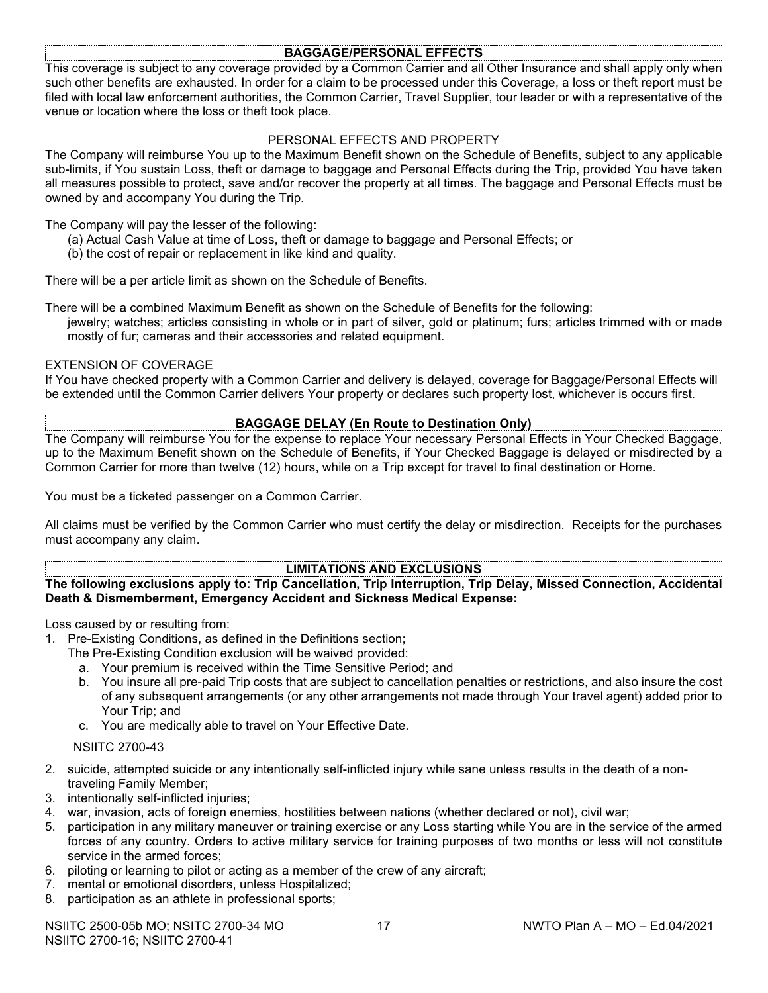#### **BAGGAGE/PERSONAL EFFECTS**

This coverage is subject to any coverage provided by a Common Carrier and all Other Insurance and shall apply only when such other benefits are exhausted. In order for a claim to be processed under this Coverage, a loss or theft report must be filed with local law enforcement authorities, the Common Carrier, Travel Supplier, tour leader or with a representative of the venue or location where the loss or theft took place.

# PERSONAL EFFECTS AND PROPERTY

The Company will reimburse You up to the Maximum Benefit shown on the Schedule of Benefits, subject to any applicable sub-limits, if You sustain Loss, theft or damage to baggage and Personal Effects during the Trip, provided You have taken all measures possible to protect, save and/or recover the property at all times. The baggage and Personal Effects must be owned by and accompany You during the Trip.

#### The Company will pay the lesser of the following:

- (a) Actual Cash Value at time of Loss, theft or damage to baggage and Personal Effects; or
- (b) the cost of repair or replacement in like kind and quality.

There will be a per article limit as shown on the Schedule of Benefits.

There will be a combined Maximum Benefit as shown on the Schedule of Benefits for the following: jewelry; watches; articles consisting in whole or in part of silver, gold or platinum; furs; articles trimmed with or made mostly of fur; cameras and their accessories and related equipment.

#### EXTENSION OF COVERAGE

If You have checked property with a Common Carrier and delivery is delayed, coverage for Baggage/Personal Effects will be extended until the Common Carrier delivers Your property or declares such property lost, whichever is occurs first.

#### **BAGGAGE DELAY (En Route to Destination Only)**

The Company will reimburse You for the expense to replace Your necessary Personal Effects in Your Checked Baggage, up to the Maximum Benefit shown on the Schedule of Benefits, if Your Checked Baggage is delayed or misdirected by a Common Carrier for more than twelve (12) hours, while on a Trip except for travel to final destination or Home.

You must be a ticketed passenger on a Common Carrier.

All claims must be verified by the Common Carrier who must certify the delay or misdirection. Receipts for the purchases must accompany any claim.

#### **LIMITATIONS AND EXCLUSIONS**

**The following exclusions apply to: Trip Cancellation, Trip Interruption, Trip Delay, Missed Connection, Accidental Death & Dismemberment, Emergency Accident and Sickness Medical Expense:**

Loss caused by or resulting from:

1. Pre-Existing Conditions, as defined in the Definitions section;

- The Pre-Existing Condition exclusion will be waived provided:
	- a. Your premium is received within the Time Sensitive Period; and
	- b. You insure all pre-paid Trip costs that are subject to cancellation penalties or restrictions, and also insure the cost of any subsequent arrangements (or any other arrangements not made through Your travel agent) added prior to Your Trip; and
	- c. You are medically able to travel on Your Effective Date.

#### NSIITC 2700-43

- 2. suicide, attempted suicide or any intentionally self-inflicted injury while sane unless results in the death of a nontraveling Family Member;
- 3. intentionally self-inflicted injuries;
- 4. war, invasion, acts of foreign enemies, hostilities between nations (whether declared or not), civil war;
- 5. participation in any military maneuver or training exercise or any Loss starting while You are in the service of the armed forces of any country. Orders to active military service for training purposes of two months or less will not constitute service in the armed forces;
- 6. piloting or learning to pilot or acting as a member of the crew of any aircraft;
- 7. mental or emotional disorders, unless Hospitalized;
- 8. participation as an athlete in professional sports;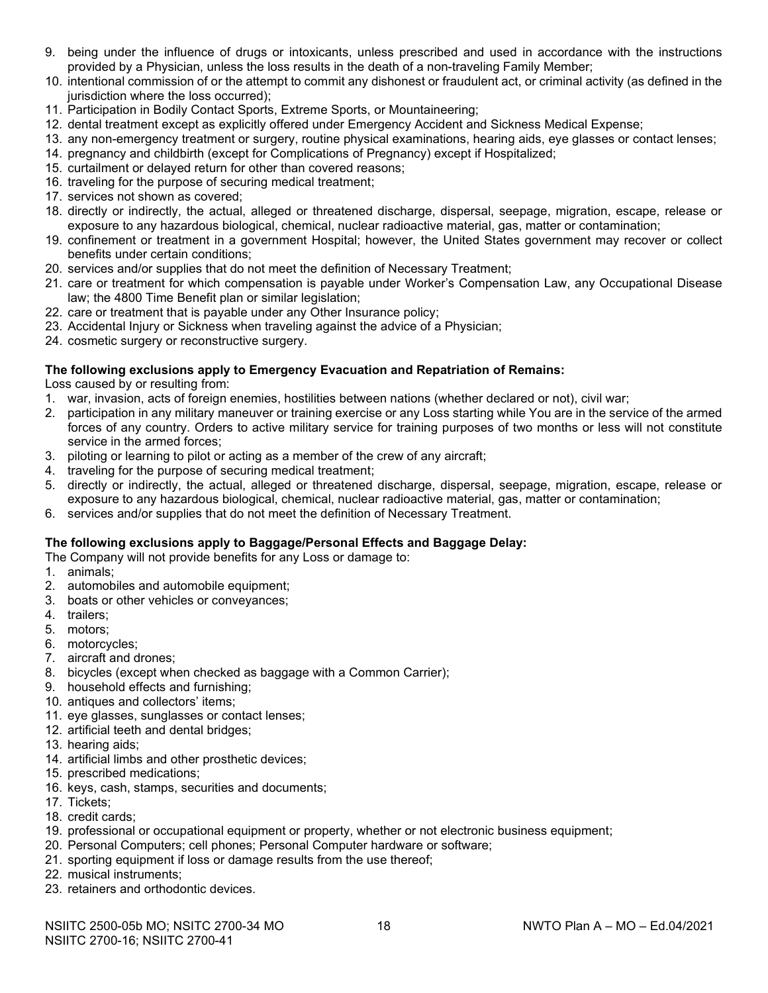- 9. being under the influence of drugs or intoxicants, unless prescribed and used in accordance with the instructions provided by a Physician, unless the loss results in the death of a non-traveling Family Member;
- 10. intentional commission of or the attempt to commit any dishonest or fraudulent act, or criminal activity (as defined in the jurisdiction where the loss occurred);
- 11. Participation in Bodily Contact Sports, Extreme Sports, or Mountaineering;
- 12. dental treatment except as explicitly offered under Emergency Accident and Sickness Medical Expense;
- 13. any non-emergency treatment or surgery, routine physical examinations, hearing aids, eye glasses or contact lenses;
- 14. pregnancy and childbirth (except for Complications of Pregnancy) except if Hospitalized;
- 15. curtailment or delayed return for other than covered reasons;
- 16. traveling for the purpose of securing medical treatment;
- 17. services not shown as covered;
- 18. directly or indirectly, the actual, alleged or threatened discharge, dispersal, seepage, migration, escape, release or exposure to any hazardous biological, chemical, nuclear radioactive material, gas, matter or contamination;
- 19. confinement or treatment in a government Hospital; however, the United States government may recover or collect benefits under certain conditions;
- 20. services and/or supplies that do not meet the definition of Necessary Treatment;
- 21. care or treatment for which compensation is payable under Worker's Compensation Law, any Occupational Disease law; the 4800 Time Benefit plan or similar legislation;
- 22. care or treatment that is payable under any Other Insurance policy;
- 23. Accidental Injury or Sickness when traveling against the advice of a Physician;
- 24. cosmetic surgery or reconstructive surgery.

# **The following exclusions apply to Emergency Evacuation and Repatriation of Remains:**

Loss caused by or resulting from:

- 1. war, invasion, acts of foreign enemies, hostilities between nations (whether declared or not), civil war;
- 2. participation in any military maneuver or training exercise or any Loss starting while You are in the service of the armed forces of any country. Orders to active military service for training purposes of two months or less will not constitute service in the armed forces;
- 3. piloting or learning to pilot or acting as a member of the crew of any aircraft;
- 4. traveling for the purpose of securing medical treatment;
- 5. directly or indirectly, the actual, alleged or threatened discharge, dispersal, seepage, migration, escape, release or exposure to any hazardous biological, chemical, nuclear radioactive material, gas, matter or contamination;
- 6. services and/or supplies that do not meet the definition of Necessary Treatment.

# **The following exclusions apply to Baggage/Personal Effects and Baggage Delay:**

The Company will not provide benefits for any Loss or damage to:

- 1. animals;
- 2. automobiles and automobile equipment;
- 3. boats or other vehicles or conveyances;
- 4. trailers;
- 5. motors;
- 6. motorcycles;
- 7. aircraft and drones;
- 8. bicycles (except when checked as baggage with a Common Carrier);
- 9. household effects and furnishing;
- 10. antiques and collectors' items;
- 11. eye glasses, sunglasses or contact lenses;
- 12. artificial teeth and dental bridges;
- 13. hearing aids;
- 14. artificial limbs and other prosthetic devices;
- 15. prescribed medications;
- 16. keys, cash, stamps, securities and documents;
- 17. Tickets;
- 18. credit cards;
- 19. professional or occupational equipment or property, whether or not electronic business equipment;
- 20. Personal Computers; cell phones; Personal Computer hardware or software;
- 21. sporting equipment if loss or damage results from the use thereof;
- 22. musical instruments;
- 23. retainers and orthodontic devices.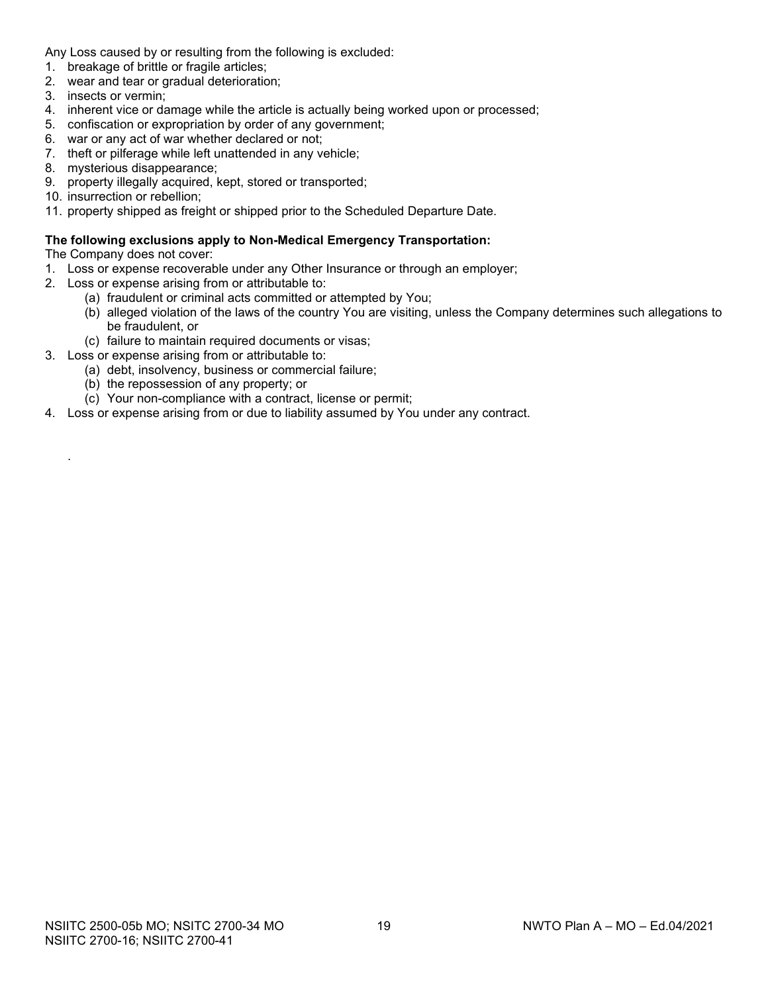Any Loss caused by or resulting from the following is excluded:

- 1. breakage of brittle or fragile articles;
- 2. wear and tear or gradual deterioration;
- 3. insects or vermin;
- 4. inherent vice or damage while the article is actually being worked upon or processed;
- 5. confiscation or expropriation by order of any government;
- 6. war or any act of war whether declared or not;
- 7. theft or pilferage while left unattended in any vehicle;
- 8. mysterious disappearance;
- 9. property illegally acquired, kept, stored or transported;
- 10. insurrection or rebellion;
- 11. property shipped as freight or shipped prior to the Scheduled Departure Date.

#### **The following exclusions apply to Non-Medical Emergency Transportation:**

The Company does not cover:

.

- 1. Loss or expense recoverable under any Other Insurance or through an employer;
- 2. Loss or expense arising from or attributable to:
	- (a) fraudulent or criminal acts committed or attempted by You;
	- (b) alleged violation of the laws of the country You are visiting, unless the Company determines such allegations to be fraudulent, or
	- (c) failure to maintain required documents or visas;
- 3. Loss or expense arising from or attributable to:
	- (a) debt, insolvency, business or commercial failure;
	- (b) the repossession of any property; or
	- (c) Your non-compliance with a contract, license or permit;
- 4. Loss or expense arising from or due to liability assumed by You under any contract.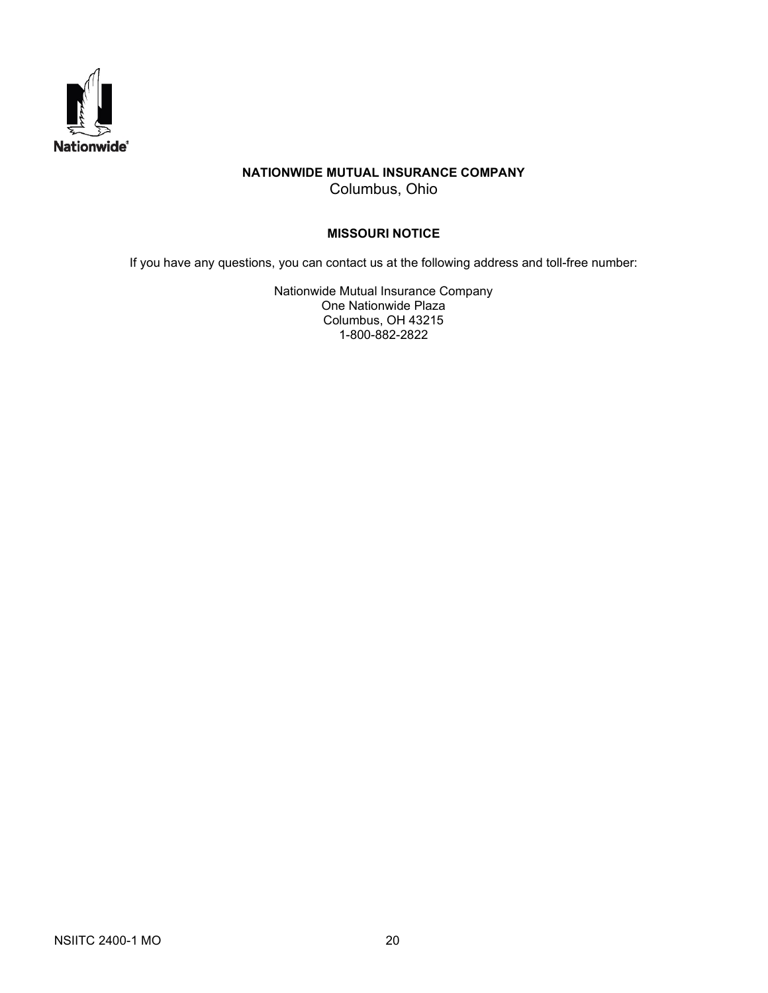

# **NATIONWIDE MUTUAL INSURANCE COMPANY** Columbus, Ohio

# **MISSOURI NOTICE**

If you have any questions, you can contact us at the following address and toll-free number:

Nationwide Mutual Insurance Company One Nationwide Plaza Columbus, OH 43215 1-800-882-2822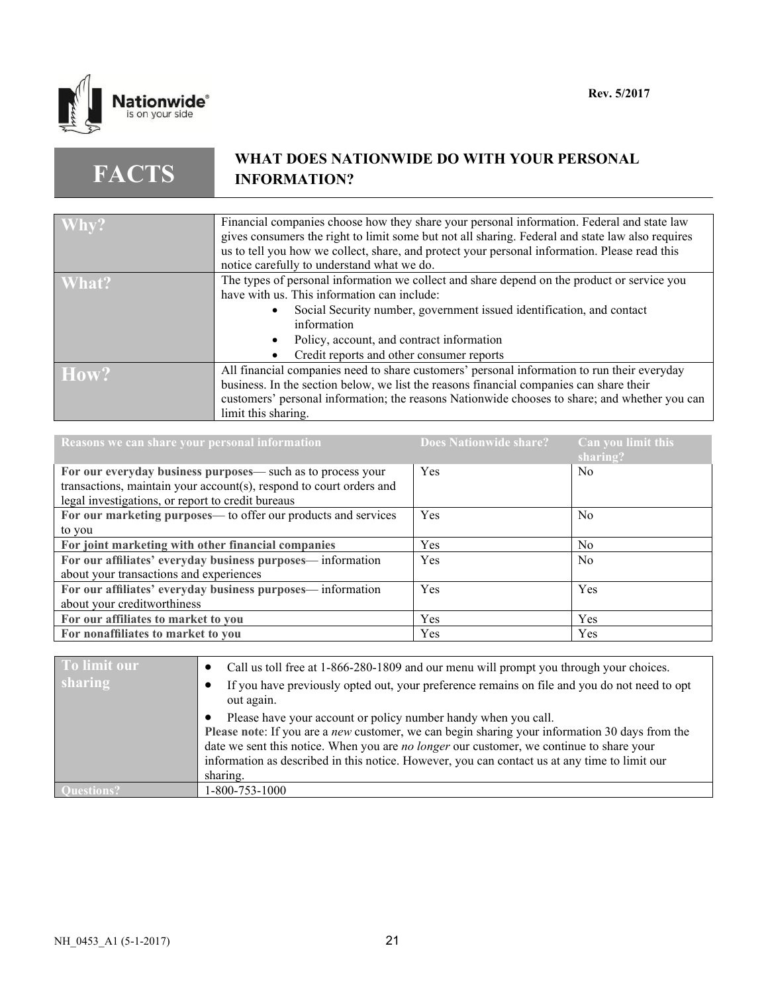

**FACTS**

# **WHAT DOES NATIONWIDE DO WITH YOUR PERSONAL INFORMATION?**

| Why?  | Financial companies choose how they share your personal information. Federal and state law       |
|-------|--------------------------------------------------------------------------------------------------|
|       | gives consumers the right to limit some but not all sharing. Federal and state law also requires |
|       |                                                                                                  |
|       | us to tell you how we collect, share, and protect your personal information. Please read this    |
|       | notice carefully to understand what we do.                                                       |
| What? | The types of personal information we collect and share depend on the product or service you      |
|       | have with us. This information can include:                                                      |
|       | Social Security number, government issued identification, and contact                            |
|       | information                                                                                      |
|       | Policy, account, and contract information                                                        |
|       | Credit reports and other consumer reports                                                        |
| How?  | All financial companies need to share customers' personal information to run their everyday      |
|       | business. In the section below, we list the reasons financial companies can share their          |
|       |                                                                                                  |
|       | customers' personal information; the reasons Nationwide chooses to share; and whether you can    |
|       | limit this sharing.                                                                              |

| Reasons we can share your personal information                      | <b>Does Nationwide share?</b> | Can you limit this<br>sharing? |
|---------------------------------------------------------------------|-------------------------------|--------------------------------|
| For our everyday business purposes— such as to process your         | Yes                           | N <sub>0</sub>                 |
| transactions, maintain your account(s), respond to court orders and |                               |                                |
| legal investigations, or report to credit bureaus                   |                               |                                |
| For our marketing purposes— to offer our products and services      | Yes                           | N <sub>0</sub>                 |
| to you                                                              |                               |                                |
| For joint marketing with other financial companies                  | <b>Yes</b>                    | N <sub>0</sub>                 |
| For our affiliates' everyday business purposes— information         | Yes                           | N <sub>0</sub>                 |
| about your transactions and experiences                             |                               |                                |
| For our affiliates' everyday business purposes— information         | Yes                           | Yes                            |
| about your creditworthiness                                         |                               |                                |
| For our affiliates to market to you                                 | Yes                           | Yes                            |
| For nonaffiliates to market to you                                  | <b>Yes</b>                    | Yes                            |

| To limit our   | Call us toll free at 1-866-280-1809 and our menu will prompt you through your choices.                                                                                                                                                                                                                                                                                           |
|----------------|----------------------------------------------------------------------------------------------------------------------------------------------------------------------------------------------------------------------------------------------------------------------------------------------------------------------------------------------------------------------------------|
| <b>sharing</b> | If you have previously opted out, your preference remains on file and you do not need to opt<br>out again.                                                                                                                                                                                                                                                                       |
|                | Please have your account or policy number handy when you call.<br>Please note: If you are a <i>new</i> customer, we can begin sharing your information 30 days from the<br>date we sent this notice. When you are no longer our customer, we continue to share your<br>information as described in this notice. However, you can contact us at any time to limit our<br>sharing. |
|                | 1-800-753-1000                                                                                                                                                                                                                                                                                                                                                                   |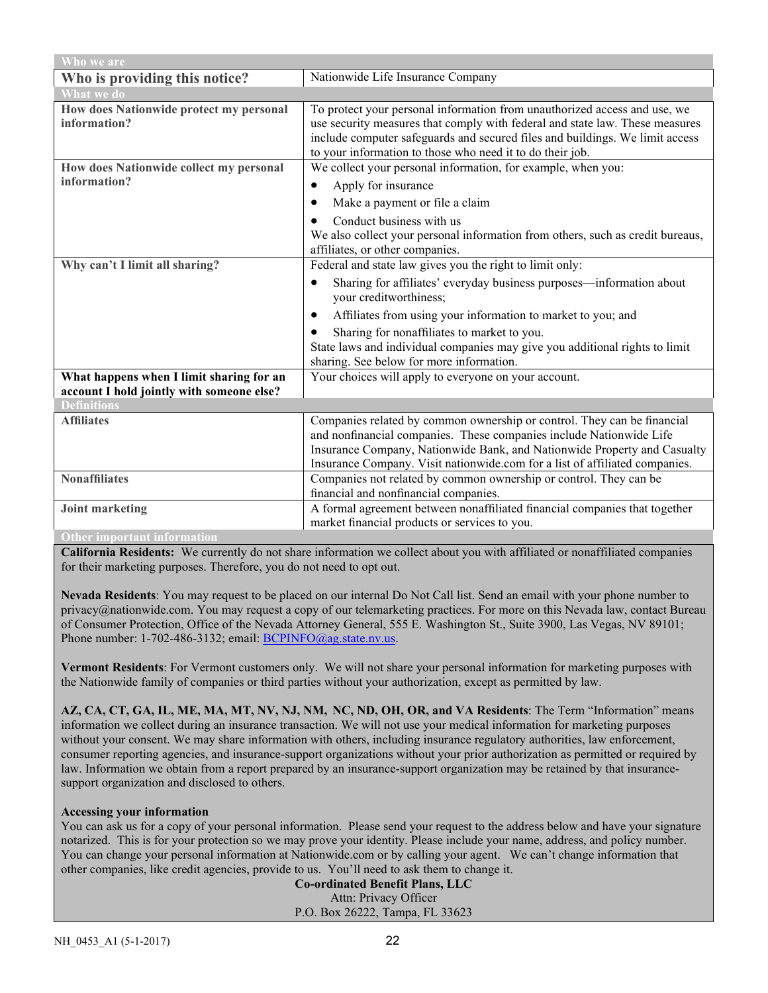| Who we are                                                                            |                                                                                                                                                                                                                                                                                                           |  |
|---------------------------------------------------------------------------------------|-----------------------------------------------------------------------------------------------------------------------------------------------------------------------------------------------------------------------------------------------------------------------------------------------------------|--|
| Who is providing this notice?                                                         | Nationwide Life Insurance Company                                                                                                                                                                                                                                                                         |  |
| <b>What we do</b>                                                                     |                                                                                                                                                                                                                                                                                                           |  |
| How does Nationwide protect my personal<br>information?                               | To protect your personal information from unauthorized access and use, we<br>use security measures that comply with federal and state law. These measures<br>include computer safeguards and secured files and buildings. We limit access<br>to your information to those who need it to do their job.    |  |
| How does Nationwide collect my personal                                               | We collect your personal information, for example, when you:                                                                                                                                                                                                                                              |  |
| information?                                                                          | Apply for insurance<br>$\bullet$                                                                                                                                                                                                                                                                          |  |
|                                                                                       | Make a payment or file a claim<br>٠                                                                                                                                                                                                                                                                       |  |
|                                                                                       | Conduct business with us<br>We also collect your personal information from others, such as credit bureaus,<br>affiliates, or other companies.                                                                                                                                                             |  |
| Why can't I limit all sharing?                                                        | Federal and state law gives you the right to limit only:                                                                                                                                                                                                                                                  |  |
|                                                                                       | Sharing for affiliates' everyday business purposes—information about<br>٠<br>your creditworthiness;                                                                                                                                                                                                       |  |
|                                                                                       | Affiliates from using your information to market to you; and<br>$\bullet$                                                                                                                                                                                                                                 |  |
|                                                                                       | Sharing for nonaffiliates to market to you.<br>$\bullet$                                                                                                                                                                                                                                                  |  |
|                                                                                       | State laws and individual companies may give you additional rights to limit<br>sharing. See below for more information.                                                                                                                                                                                   |  |
| What happens when I limit sharing for an<br>account I hold jointly with someone else? | Your choices will apply to everyone on your account.                                                                                                                                                                                                                                                      |  |
| <b>Definitions</b>                                                                    |                                                                                                                                                                                                                                                                                                           |  |
| <b>Affiliates</b>                                                                     | Companies related by common ownership or control. They can be financial<br>and nonfinancial companies. These companies include Nationwide Life<br>Insurance Company, Nationwide Bank, and Nationwide Property and Casualty<br>Insurance Company. Visit nationwide.com for a list of affiliated companies. |  |
| <b>Nonaffiliates</b>                                                                  | Companies not related by common ownership or control. They can be                                                                                                                                                                                                                                         |  |
|                                                                                       | financial and nonfinancial companies.                                                                                                                                                                                                                                                                     |  |
| <b>Joint marketing</b>                                                                | A formal agreement between nonaffiliated financial companies that together                                                                                                                                                                                                                                |  |
|                                                                                       | market financial products or services to you.                                                                                                                                                                                                                                                             |  |
| <b>Other important information</b>                                                    |                                                                                                                                                                                                                                                                                                           |  |

**California Residents:** We currently do not share information we collect about you with affiliated or nonaffiliated companies for their marketing purposes. Therefore, you do not need to opt out.

**Nevada Residents**: You may request to be placed on our internal Do Not Call list. Send an email with your phone number to privacy@nationwide.com. You may request a copy of our telemarketing practices. For more on this Nevada law, contact Bureau of Consumer Protection, Office of the Nevada Attorney General, 555 E. Washington St., Suite 3900, Las Vegas, NV 89101; Phone number: 1-702-486-3132; email[: BCPINFO@ag.state.nv.us.](mailto:BCPINFO@ag.state.nv.us)

**Vermont Residents**: For Vermont customers only. We will not share your personal information for marketing purposes with the Nationwide family of companies or third parties without your authorization, except as permitted by law.

**AZ, CA, CT, GA, IL, ME, MA, MT, NV, NJ, NM, NC, ND, OH, OR, and VA Residents**: The Term "Information" means information we collect during an insurance transaction. We will not use your medical information for marketing purposes without your consent. We may share information with others, including insurance regulatory authorities, law enforcement, consumer reporting agencies, and insurance-support organizations without your prior authorization as permitted or required by law. Information we obtain from a report prepared by an insurance-support organization may be retained by that insurancesupport organization and disclosed to others.

# **Accessing your information**

You can ask us for a copy of your personal information. Please send your request to the address below and have your signature notarized. This is for your protection so we may prove your identity. Please include your name, address, and policy number. You can change your personal information at Nationwide.com or by calling your agent. We can't change information that other companies, like credit agencies, provide to us. You'll need to ask them to change it.

**Co-ordinated Benefit Plans, LLC** Attn: Privacy Officer P.O. Box 26222, Tampa, FL 33623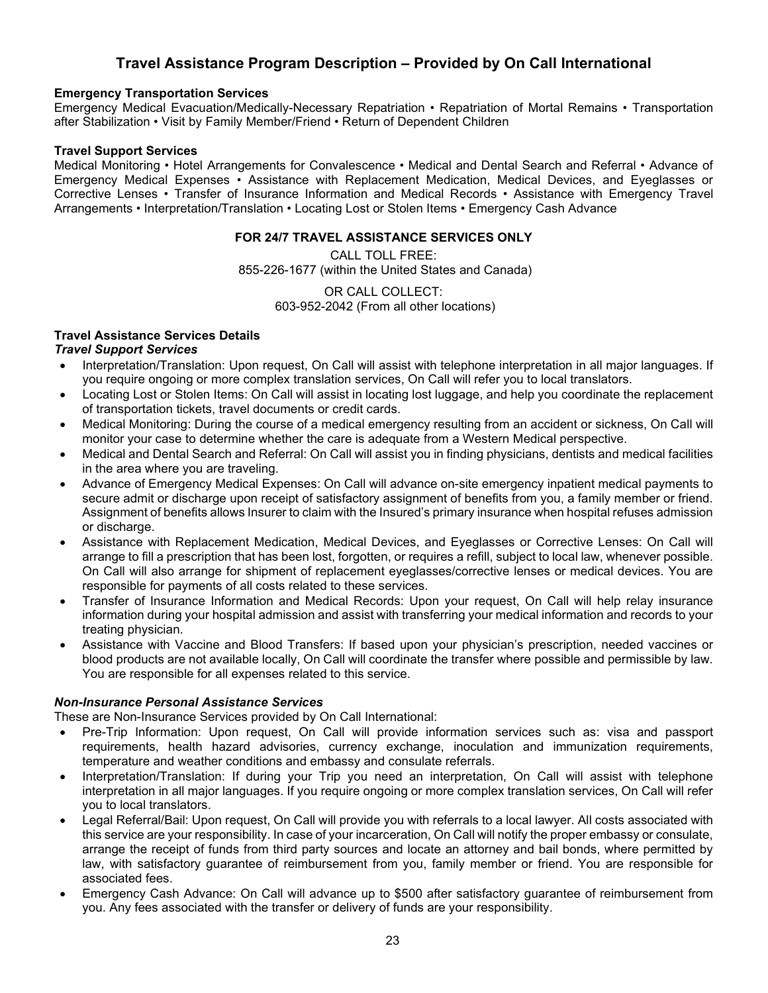# **Travel Assistance Program Description – Provided by On Call International**

#### **Emergency Transportation Services**

Emergency Medical Evacuation/Medically-Necessary Repatriation • Repatriation of Mortal Remains • Transportation after Stabilization • Visit by Family Member/Friend • Return of Dependent Children

#### **Travel Support Services**

Medical Monitoring • Hotel Arrangements for Convalescence • Medical and Dental Search and Referral • Advance of Emergency Medical Expenses • Assistance with Replacement Medication, Medical Devices, and Eyeglasses or Corrective Lenses • Transfer of Insurance Information and Medical Records • Assistance with Emergency Travel Arrangements • Interpretation/Translation • Locating Lost or Stolen Items • Emergency Cash Advance

#### **FOR 24/7 TRAVEL ASSISTANCE SERVICES ONLY**

CALL TOLL FREE: 855-226-1677 (within the United States and Canada)

> OR CALL COLLECT: 603-952-2042 (From all other locations)

# **Travel Assistance Services Details**

# *Travel Support Services*

- Interpretation/Translation: Upon request, On Call will assist with telephone interpretation in all major languages. If you require ongoing or more complex translation services, On Call will refer you to local translators.
- Locating Lost or Stolen Items: On Call will assist in locating lost luggage, and help you coordinate the replacement of transportation tickets, travel documents or credit cards.
- Medical Monitoring: During the course of a medical emergency resulting from an accident or sickness, On Call will monitor your case to determine whether the care is adequate from a Western Medical perspective.
- Medical and Dental Search and Referral: On Call will assist you in finding physicians, dentists and medical facilities in the area where you are traveling.
- Advance of Emergency Medical Expenses: On Call will advance on-site emergency inpatient medical payments to secure admit or discharge upon receipt of satisfactory assignment of benefits from you, a family member or friend. Assignment of benefits allows Insurer to claim with the Insured's primary insurance when hospital refuses admission or discharge.
- Assistance with Replacement Medication, Medical Devices, and Eyeglasses or Corrective Lenses: On Call will arrange to fill a prescription that has been lost, forgotten, or requires a refill, subject to local law, whenever possible. On Call will also arrange for shipment of replacement eyeglasses/corrective lenses or medical devices. You are responsible for payments of all costs related to these services.
- Transfer of Insurance Information and Medical Records: Upon your request, On Call will help relay insurance information during your hospital admission and assist with transferring your medical information and records to your treating physician.
- Assistance with Vaccine and Blood Transfers: If based upon your physician's prescription, needed vaccines or blood products are not available locally, On Call will coordinate the transfer where possible and permissible by law. You are responsible for all expenses related to this service.

# *Non-Insurance Personal Assistance Services*

These are Non-Insurance Services provided by On Call International:

- Pre-Trip Information: Upon request, On Call will provide information services such as: visa and passport requirements, health hazard advisories, currency exchange, inoculation and immunization requirements, temperature and weather conditions and embassy and consulate referrals.
- Interpretation/Translation: If during your Trip you need an interpretation, On Call will assist with telephone interpretation in all major languages. If you require ongoing or more complex translation services, On Call will refer you to local translators.
- Legal Referral/Bail: Upon request, On Call will provide you with referrals to a local lawyer. All costs associated with this service are your responsibility. In case of your incarceration, On Call will notify the proper embassy or consulate, arrange the receipt of funds from third party sources and locate an attorney and bail bonds, where permitted by law, with satisfactory guarantee of reimbursement from you, family member or friend. You are responsible for associated fees.
- Emergency Cash Advance: On Call will advance up to \$500 after satisfactory guarantee of reimbursement from you. Any fees associated with the transfer or delivery of funds are your responsibility.